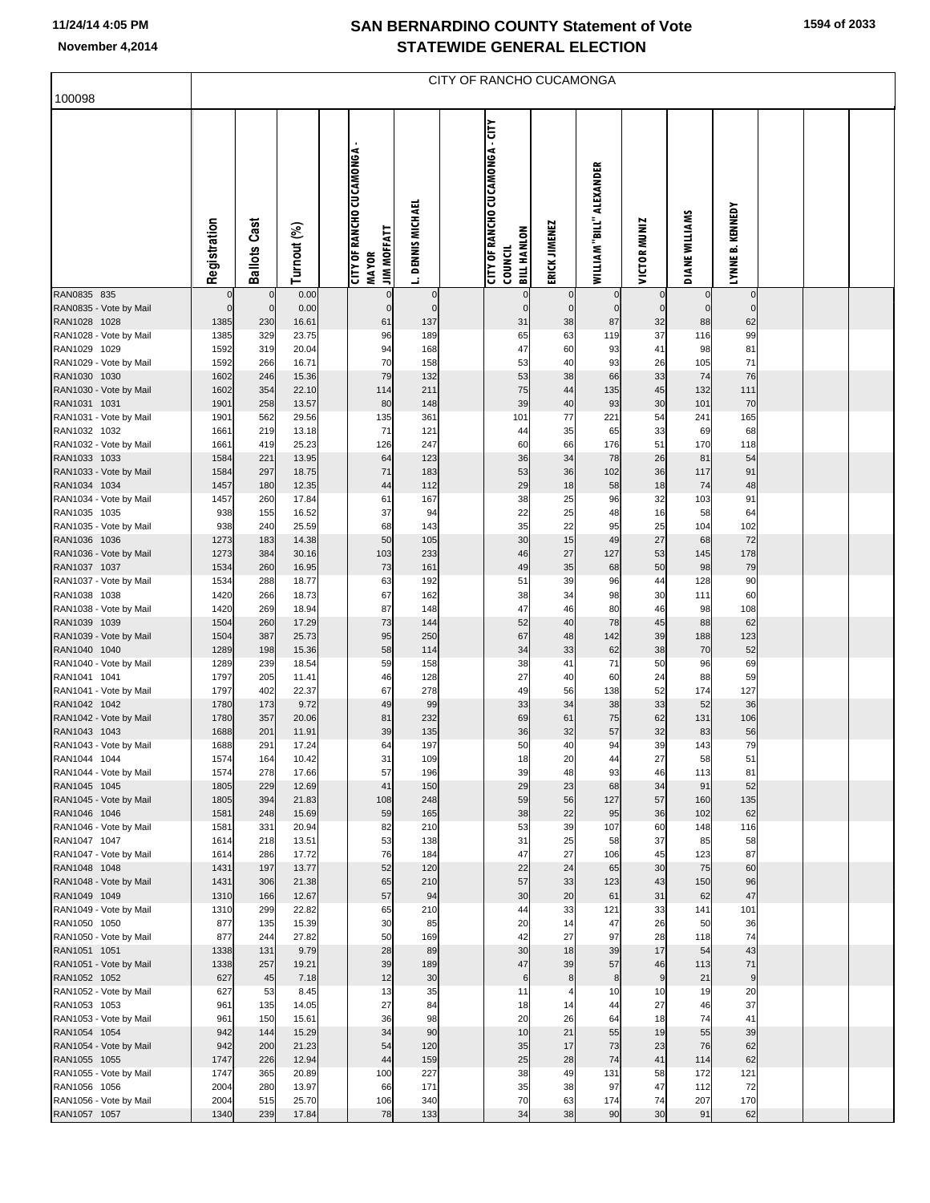100098

|              |                        |             |                                                                                      |                            | <b>STATEWIDE GENERAL ELECTION</b>    |                       |               |                                    |              |                                                    |                                |  |  |
|--------------|------------------------|-------------|--------------------------------------------------------------------------------------|----------------------------|--------------------------------------|-----------------------|---------------|------------------------------------|--------------|----------------------------------------------------|--------------------------------|--|--|
|              |                        |             |                                                                                      |                            | CITY OF RANCHO CUCAMONGA             |                       |               |                                    |              |                                                    |                                |  |  |
| Registration | Cast<br><b>Ballots</b> | Turnout (%) | <b>CUCAMONGA</b><br>RANCHO<br><b>JIM MOFFATT</b><br>៉ៃ<br><b>MAYOR</b><br><b>LLA</b> | <b>DENNIS MICHAEL</b><br>∸ | 5<br>CUCAMONGA<br>RANCHO<br>٥F<br>IБ | HANLON<br>로<br>g<br>랆 | ERICK JIMENEZ | ALEXANDER<br>™a,<br><b>WILLIAM</b> | VICTOR MUNIZ | WILLIAMS<br><b>MKI</b><br>$\overline{\phantom{a}}$ | <b>KENNED</b> Y<br>œi<br>LYNNE |  |  |

|                                        | Registration | Cast               | Turnout (%)    | <b>CITY OF RANCHO CUCAMON</b>      | <b>DENNIS MICHAEL</b> | <b>CITY OF RANCHO CUCAMON</b>        | ERICK JIMENEZ     | WILLIAM "BILL" ALEXANDER | <b>VICTOR MUNIZ</b> | DIANE WILLIAMS       | KENNEDY           |  |  |
|----------------------------------------|--------------|--------------------|----------------|------------------------------------|-----------------------|--------------------------------------|-------------------|--------------------------|---------------------|----------------------|-------------------|--|--|
|                                        |              | <b>Ballots</b>     |                | <b>JIM MOFFATT</b><br><b>MAYOR</b> | Ĺ.                    | <b>BILL HANLON</b><br><b>COUNCIL</b> |                   |                          |                     |                      | LYNNE B.          |  |  |
| RAN0835 835                            | $\mathbf 0$  | $\mathbf 0$        | 0.00           | $\bf 0$                            | $\mathbf 0$           | $\mathbf 0$                          | $\mathbf 0$       | $\mathbf 0$              | $\mathbf 0$         | $\overline{0}$       | $\mathbf 0$       |  |  |
| RAN0835 - Vote by Mail<br>RAN1028 1028 | 0<br>1385    | $\mathbf 0$<br>230 | 0.00<br>16.61  | $\bf 0$<br>61                      | $\mathbf 0$<br>137    | $\mathbf 0$<br>31                    | $\mathbf 0$<br>38 | $\mathbf 0$<br>87        | $\mathbf 0$<br>32   | $\overline{0}$<br>88 | $\mathbf 0$<br>62 |  |  |
| RAN1028 - Vote by Mail                 | 1385         | 329                | 23.75          | 96                                 | 189                   | 65                                   | 63                | 119                      | 37                  | 116                  | 99                |  |  |
| RAN1029 1029                           | 1592         | 319                | 20.04          | 94                                 | 168                   | 47                                   | 60                | 93                       | 41                  | 98                   | 81                |  |  |
| RAN1029 - Vote by Mail                 | 1592         | 266                | 16.71          | 70                                 | 158                   | 53                                   | 40                | 93                       | 26                  | 105                  | 71                |  |  |
| RAN1030 1030<br>RAN1030 - Vote by Mail | 1602<br>1602 | 246<br>354         | 15.36<br>22.10 | 79<br>114                          | 132<br>211            | 53<br>75                             | 38<br>44          | 66<br>135                | 33<br>45            | 74<br>132            | 76<br>111         |  |  |
| RAN1031 1031                           | 1901         | 258                | 13.57          | 80                                 | 148                   | 39                                   | 40                | 93                       | 30                  | 101                  | 70                |  |  |
| RAN1031 - Vote by Mail                 | 1901         | 562                | 29.56          | 135                                | 361                   | 101                                  | 77                | 221                      | 54                  | 241                  | 165               |  |  |
| RAN1032 1032                           | 1661         | 219                | 13.18          | 71                                 | 121                   | 44                                   | 35                | 65                       | 33                  | 69                   | 68                |  |  |
| RAN1032 - Vote by Mail<br>RAN1033 1033 | 1661<br>1584 | 419<br>221         | 25.23<br>13.95 | 126<br>64                          | 247<br>123            | 60<br>36                             | 66<br>34          | 176<br>78                | 51<br>26            | 170<br>81            | 118<br>54         |  |  |
| RAN1033 - Vote by Mail                 | 1584         | 297                | 18.75          | 71                                 | 183                   | 53                                   | 36                | 102                      | 36                  | 117                  | 91                |  |  |
| RAN1034 1034                           | 1457         | 180                | 12.35          | 44                                 | 112                   | 29                                   | 18                | 58                       | 18                  | 74                   | 48                |  |  |
| RAN1034 - Vote by Mail                 | 1457         | 260                | 17.84          | 61                                 | 167                   | 38                                   | 25                | 96                       | 32                  | 103                  | 91                |  |  |
| RAN1035 1035                           | 938          | 155                | 16.52          | 37                                 | 94                    | 22                                   | 25                | 48                       | 16                  | 58                   | 64                |  |  |
| RAN1035 - Vote by Mail<br>RAN1036 1036 | 938<br>1273  | 240<br>183         | 25.59<br>14.38 | 68<br>50                           | 143<br>105            | 35<br>30                             | 22<br>15          | 95<br>49                 | 25<br>27            | 104<br>68            | 102<br>72         |  |  |
| RAN1036 - Vote by Mail                 | 1273         | 384                | 30.16          | 103                                | 233                   | 46                                   | 27                | 127                      | 53                  | 145                  | 178               |  |  |
| RAN1037 1037                           | 1534         | 260                | 16.95          | 73                                 | 161                   | 49                                   | 35                | 68                       | 50                  | 98                   | 79                |  |  |
| RAN1037 - Vote by Mail                 | 1534         | 288                | 18.77          | 63                                 | 192                   | 51                                   | 39                | 96                       | 44                  | 128                  | 90                |  |  |
| RAN1038 1038                           | 1420         | 266                | 18.73          | 67                                 | 162                   | 38                                   | 34                | 98                       | 30                  | 111                  | 60                |  |  |
| RAN1038 - Vote by Mail<br>RAN1039 1039 | 1420<br>1504 | 269<br>260         | 18.94<br>17.29 | 87<br>73                           | 148<br>144            | 47<br>52                             | 46<br>40          | 80<br>78                 | 46<br>45            | 98<br>88             | 108<br>62         |  |  |
| RAN1039 - Vote by Mail                 | 1504         | 387                | 25.73          | 95                                 | 250                   | 67                                   | 48                | 142                      | 39                  | 188                  | 123               |  |  |
| RAN1040 1040                           | 1289         | 198                | 15.36          | 58                                 | 114                   | 34                                   | 33                | 62                       | 38                  | 70                   | 52                |  |  |
| RAN1040 - Vote by Mail                 | 1289         | 239                | 18.54          | 59                                 | 158                   | 38                                   | 41                | 71                       | 50                  | 96                   | 69                |  |  |
| RAN1041 1041<br>RAN1041 - Vote by Mail | 1797<br>1797 | 205<br>402         | 11.41<br>22.37 | 46<br>67                           | 128<br>278            | 27<br>49                             | 40<br>56          | 60<br>138                | 24<br>52            | 88<br>174            | 59<br>127         |  |  |
| RAN1042 1042                           | 1780         | 173                | 9.72           | 49                                 | 99                    | 33                                   | 34                | 38                       | 33                  | 52                   | 36                |  |  |
| RAN1042 - Vote by Mail                 | 1780         | 357                | 20.06          | 81                                 | 232                   | 69                                   | 61                | 75                       | 62                  | 131                  | 106               |  |  |
| RAN1043 1043                           | 1688         | 201                | 11.91          | 39                                 | 135                   | 36                                   | 32                | 57                       | 32                  | 83                   | 56                |  |  |
| RAN1043 - Vote by Mail                 | 1688         | 291                | 17.24          | 64                                 | 197                   | 50                                   | 40                | 94                       | 39                  | 143                  | 79                |  |  |
| RAN1044 1044<br>RAN1044 - Vote by Mail | 1574<br>1574 | 164<br>278         | 10.42<br>17.66 | 31<br>57                           | 109<br>196            | 18<br>39                             | 20<br>48          | 44<br>93                 | 27<br>46            | 58<br>113            | 51<br>81          |  |  |
| RAN1045 1045                           | 1805         | 229                | 12.69          | 41                                 | 150                   | 29                                   | 23                | 68                       | 34                  | 91                   | 52                |  |  |
| RAN1045 - Vote by Mail                 | 1805         | 394                | 21.83          | 108                                | 248                   | 59                                   | 56                | 127                      | 57                  | 160                  | 135               |  |  |
| RAN1046 1046                           | 1581         | 248                | 15.69          | 59                                 | 165                   | 38                                   | 22                | 95                       | 36                  | 102                  | 62                |  |  |
| RAN1046 - Vote by Mail<br>RAN1047 1047 | 1581<br>1614 | 331<br>218         | 20.94<br>13.51 | 82<br>53                           | 210<br>138            | 53<br>31                             | 39<br>25          | 107<br>58                | 60<br>37            | 148<br>85            | 116<br>58         |  |  |
| RAN1047 - Vote by Mail                 | 1614         | 286                | 17.72          | 76                                 | 184                   | 47                                   | 27                | 106                      | 45                  | 123                  | 87                |  |  |
| RAN1048 1048                           | 1431         | 197                | 13.77          | 52                                 | 120                   | 22                                   | 24                | 65                       | 30                  | 75                   | 60                |  |  |
| RAN1048 - Vote by Mail                 | 1431         | 306                | 21.38          | 65                                 | 210                   | 57                                   | 33                | 123                      | 43                  | 150                  | 96                |  |  |
| RAN1049 1049                           | 1310         | 166                | 12.67          | 57                                 | 94                    | 30                                   | 20                | 61                       | 31                  | 62                   | 47                |  |  |
| RAN1049 - Vote by Mail<br>RAN1050 1050 | 1310<br>877  | 299<br>135         | 22.82<br>15.39 | 65<br>30                           | 210<br>85             | 44<br>20                             | 33<br>14          | 121<br>47                | 33<br>26            | 141<br>50            | 101<br>36         |  |  |
| RAN1050 - Vote by Mail                 | 877          | 244                | 27.82          | 50                                 | 169                   | 42                                   | 27                | 97                       | 28                  | 118                  | 74                |  |  |
| RAN1051 1051                           | 1338         | 131                | 9.79           | 28                                 | 89                    | 30                                   | 18                | 39                       | 17                  | 54                   | 43                |  |  |
| RAN1051 - Vote by Mail                 | 1338         | 257                | 19.21          | 39                                 | 189                   | 47                                   | 39                | 57                       | 46                  | 113                  | 71                |  |  |
| RAN1052 1052<br>RAN1052 - Vote by Mail | 627<br>627   | 45<br>53           | 7.18<br>8.45   | 12<br>13                           | 30<br>35              | $\,6$<br>11                          | 8<br>4            | 8<br>10                  | 9<br>10             | 21<br>19             | 9<br>20           |  |  |
| RAN1053 1053                           | 961          | 135                | 14.05          | 27                                 | 84                    | 18                                   | 14                | 44                       | 27                  | 46                   | 37                |  |  |
| RAN1053 - Vote by Mail                 | 961          | 150                | 15.61          | 36                                 | 98                    | 20                                   | 26                | 64                       | 18                  | 74                   | 41                |  |  |
| RAN1054 1054                           | 942          | 144                | 15.29          | 34                                 | 90                    | 10                                   | 21                | 55                       | 19                  | 55                   | 39                |  |  |
| RAN1054 - Vote by Mail                 | 942          | 200                | 21.23          | 54                                 | 120                   | 35                                   | 17                | 73                       | 23                  | 76                   | 62                |  |  |
| RAN1055 1055<br>RAN1055 - Vote by Mail | 1747<br>1747 | 226<br>365         | 12.94<br>20.89 | 44<br>100                          | 159<br>227            | 25<br>38                             | 28<br>49          | 74<br>131                | 41<br>58            | 114<br>172           | 62<br>121         |  |  |
| RAN1056 1056                           | 2004         | 280                | 13.97          | 66                                 | 171                   | 35                                   | 38                | 97                       | 47                  | 112                  | 72                |  |  |
| RAN1056 - Vote by Mail                 | 2004         | 515                | 25.70          | 106                                | 340                   | 70                                   | 63                | 174                      | 74                  | 207                  | 170               |  |  |
| RAN1057 1057                           | 1340         | 239                | 17.84          | 78                                 | 133                   | 34                                   | 38                | 90                       | 30                  | 91                   | 62                |  |  |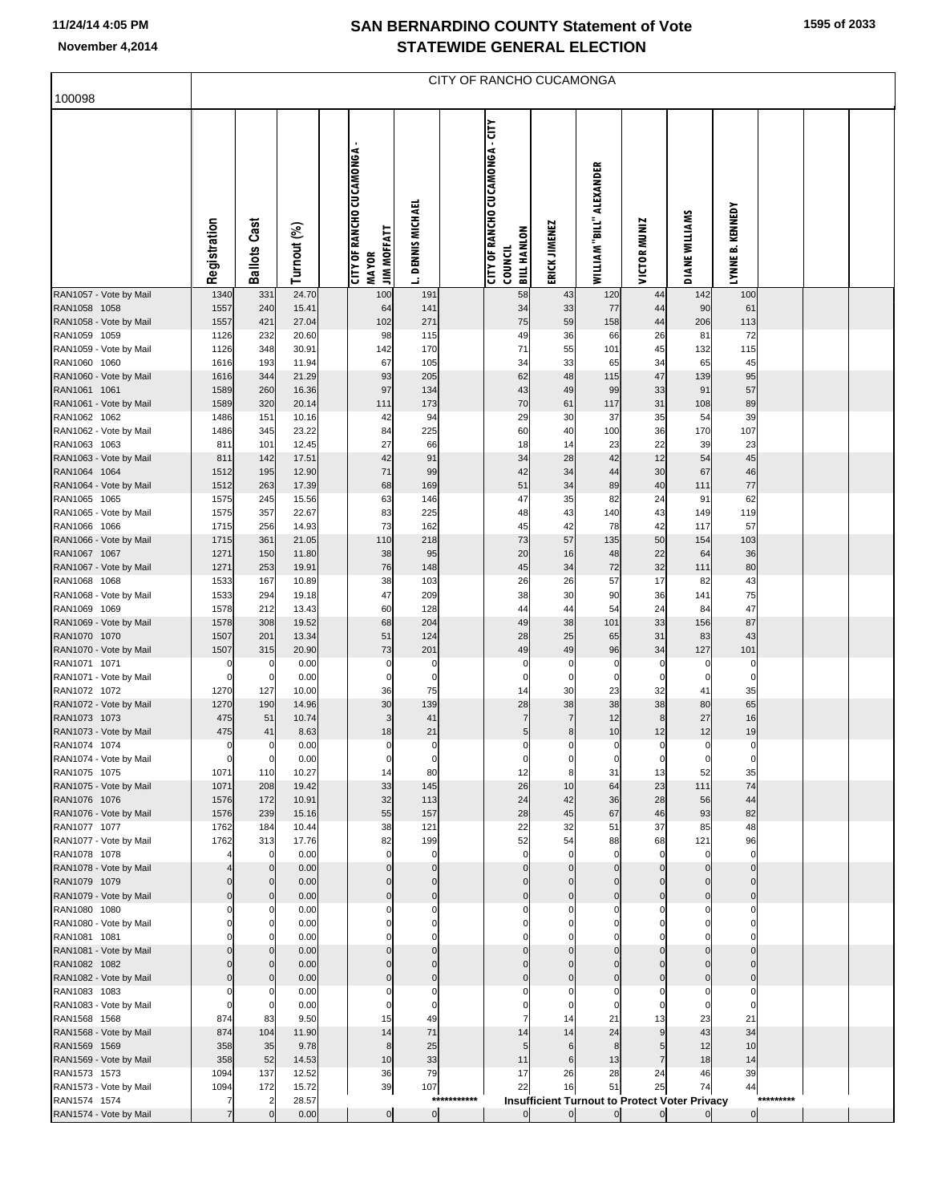| <b>STATEWIDE GENERAL ELECTION</b> |  |
|-----------------------------------|--|
| CITY OF RANCHO CUCAMONGA          |  |

| 100098                                 |                     |                               |                |                                    |                       |             |                                        |                      |                          |                                                          |                       |                      |           |  |
|----------------------------------------|---------------------|-------------------------------|----------------|------------------------------------|-----------------------|-------------|----------------------------------------|----------------------|--------------------------|----------------------------------------------------------|-----------------------|----------------------|-----------|--|
|                                        |                     |                               |                |                                    |                       |             |                                        |                      |                          |                                                          |                       |                      |           |  |
|                                        |                     |                               |                |                                    |                       |             | <b>CITY OF RANCHO CUCAMONGA - CITY</b> |                      |                          |                                                          |                       |                      |           |  |
|                                        |                     |                               |                | <b>CITY OF RANCHO CUCAMONGA-</b>   |                       |             |                                        |                      |                          |                                                          |                       |                      |           |  |
|                                        |                     |                               |                |                                    |                       |             |                                        |                      |                          |                                                          |                       |                      |           |  |
|                                        |                     |                               |                |                                    |                       |             |                                        |                      |                          |                                                          |                       |                      |           |  |
|                                        |                     |                               |                |                                    |                       |             |                                        |                      |                          |                                                          |                       |                      |           |  |
|                                        |                     |                               |                |                                    |                       |             |                                        |                      |                          |                                                          |                       |                      |           |  |
|                                        | Registration        | <b>Ballots Cast</b>           | Turnout (%)    | <b>JIM MOFFATT</b><br><b>MAYOR</b> | <b>DENNIS MICHAEL</b> |             | <b>BILL HANLON</b><br>COUNCIL          | ERICK JIMENEZ        | WILLIAM "BILL" ALEXANDER | <b>VICTOR MUNIZ</b>                                      | <b>DIANE WILLIAMS</b> | LYNNE B. KENNEDY     |           |  |
|                                        |                     |                               |                |                                    | Ľ.                    |             |                                        |                      |                          |                                                          |                       |                      |           |  |
| RAN1057 - Vote by Mail<br>RAN1058 1058 | 1340<br>1557        | 331<br>240                    | 24.70<br>15.41 | 100<br>64                          | 191<br>141            |             | 58<br>34                               | 43<br>33             | 120<br>77                | 44<br>44                                                 | 142<br>90             | 100<br>61            |           |  |
| RAN1058 - Vote by Mail                 | 1557                | 421                           | 27.04          | 102                                | 271                   |             | 75                                     | 59                   | 158                      | 44                                                       | 206                   | 113                  |           |  |
| RAN1059 1059                           | 1126                | 232                           | 20.60          | 98                                 | 115                   |             | 49                                     | 36                   | 66                       | 26                                                       | 81                    | 72                   |           |  |
| RAN1059 - Vote by Mail<br>RAN1060 1060 | 1126<br>1616        | 348<br>193                    | 30.91<br>11.94 | 142<br>67                          | 170<br>105            |             | 71<br>34                               | 55<br>33             | 101<br>65                | 45<br>34                                                 | 132<br>65             | 115<br>45            |           |  |
| RAN1060 - Vote by Mail                 | 1616                | 344                           | 21.29          | 93                                 | 205                   |             | 62                                     | 48                   | 115                      | 47                                                       | 139                   | 95                   |           |  |
| RAN1061 1061                           | 1589                | 260                           | 16.36          | 97                                 | 134                   |             | 43                                     | 49                   | 99                       | 33                                                       | 91                    | 57                   |           |  |
| RAN1061 - Vote by Mail                 | 1589                | 320                           | 20.14          | 111                                | 173                   |             | 70                                     | 61                   | 117                      | 31                                                       | 108                   | 89                   |           |  |
| RAN1062 1062<br>RAN1062 - Vote by Mail | 1486<br>1486        | 151<br>345                    | 10.16<br>23.22 | 42<br>84                           | 94<br>225             |             | 29<br>60                               | 30<br>40             | 37<br>100                | 35<br>36                                                 | 54<br>170             | 39<br>107            |           |  |
| RAN1063 1063                           | 811                 | 101                           | 12.45          | 27                                 | 66                    |             | 18                                     | 14                   | 23                       | 22                                                       | 39                    | 23                   |           |  |
| RAN1063 - Vote by Mail                 | 811                 | 142                           | 17.51          | 42                                 | 91                    |             | 34                                     | 28                   | 42                       | 12                                                       | 54                    | 45                   |           |  |
| RAN1064 1064<br>RAN1064 - Vote by Mail | 1512<br>1512        | 195<br>263                    | 12.90<br>17.39 | 71<br>68                           | 99<br>169             |             | 42<br>51                               | 34<br>34             | 44<br>89                 | 30<br>40                                                 | 67<br>111             | 46<br>77             |           |  |
| RAN1065 1065                           | 1575                | 245                           | 15.56          | 63                                 | 146                   |             | 47                                     | 35                   | 82                       | 24                                                       | 91                    | 62                   |           |  |
| RAN1065 - Vote by Mail                 | 1575                | 357                           | 22.67          | 83                                 | 225                   |             | 48                                     | 43                   | 140                      | 43                                                       | 149                   | 119                  |           |  |
| RAN1066 1066                           | 1715<br>1715        | 256<br>361                    | 14.93<br>21.05 | 73<br>110                          | 162<br>218            |             | 45<br>73                               | 42<br>57             | 78                       | 42<br>50                                                 | 117<br>154            | 57<br>103            |           |  |
| RAN1066 - Vote by Mail<br>RAN1067 1067 | 1271                | 150                           | 11.80          | 38                                 | 95                    |             | 20                                     | 16                   | 135<br>48                | 22                                                       | 64                    | 36                   |           |  |
| RAN1067 - Vote by Mail                 | 1271                | 253                           | 19.91          | 76                                 | 148                   |             | 45                                     | 34                   | 72                       | 32                                                       | 111                   | 80                   |           |  |
| RAN1068 1068                           | 1533                | 167                           | 10.89          | 38                                 | 103                   |             | 26                                     | 26                   | 57                       | 17                                                       | 82                    | 43                   |           |  |
| RAN1068 - Vote by Mail<br>RAN1069 1069 | 1533<br>1578        | 294<br>212                    | 19.18<br>13.43 | 47<br>60                           | 209<br>128            |             | 38<br>44                               | 30<br>44             | 90<br>54                 | 36<br>24                                                 | 141<br>84             | 75<br>47             |           |  |
| RAN1069 - Vote by Mail                 | 1578                | 308                           | 19.52          | 68                                 | 204                   |             | 49                                     | 38                   | 101                      | 33                                                       | 156                   | 87                   |           |  |
| RAN1070 1070                           | 1507                | 201                           | 13.34          | 51                                 | 124                   |             | 28                                     | 25                   | 65                       | 31                                                       | 83                    | 43                   |           |  |
| RAN1070 - Vote by Mail<br>RAN1071 1071 | 1507<br>0           | 315<br>0                      | 20.90<br>0.00  | 73<br>0                            | 201<br>0              |             | 49<br>$\pmb{0}$                        | 49<br>0              | 96<br>$\pmb{0}$          | 34<br>$\mathbf 0$                                        | 127<br>0              | 101<br>0             |           |  |
| RAN1071 - Vote by Mail                 |                     | $\mathbf 0$                   | 0.00           | 0                                  | $\mathbf 0$           |             | $\mathbf 0$                            | $\mathbf 0$          | $\mathbf 0$              | $\mathbf 0$                                              | $\mathbf 0$           | $\mathbf 0$          |           |  |
| RAN1072 1072                           | 1270                | 127                           | 10.00          | 36                                 | 75                    |             | 14                                     | 30                   | 23                       | 32                                                       | 41                    | 35                   |           |  |
| RAN1072 - Vote by Mail<br>RAN1073 1073 | 1270<br>475         | 190<br>51                     | 14.96<br>10.74 | 30<br>3                            | 139<br>41             |             | 28<br>$\overline{7}$                   | 38<br>$\overline{7}$ | 38<br>12                 | 38<br>8                                                  | 80<br>27              | 65<br>16             |           |  |
| RAN1073 - Vote by Mail                 | 475                 | 41                            | 8.63           | 18                                 | 21                    |             | $\overline{5}$                         | 8                    | 10                       | 12                                                       | 12                    | 19                   |           |  |
| RAN1074 1074                           | 0                   | 0                             | 0.00           | 0                                  | 0                     |             | $\mathbf 0$                            | 0                    | 0                        | 0                                                        | 0                     | $\mathbf 0$          |           |  |
| RAN1074 - Vote by Mail<br>RAN1075 1075 | $\mathbf 0$<br>1071 | $\mathbf 0$<br>110            | 0.00<br>10.27  | 0                                  | $\mathbf 0$<br>80     |             | $\mathbf 0$                            | 0                    | $\pmb{0}$<br>31          | $\pmb{0}$<br>13                                          | $\mathbf 0$<br>52     | 0<br>35              |           |  |
| RAN1075 - Vote by Mail                 | 1071                | 208                           | 19.42          | 33                                 | 145                   |             | 26                                     | 10                   | 64                       | 23                                                       | 111                   | 74                   |           |  |
| RAN1076 1076                           | 1576                | 172                           | 10.91          | 32                                 | 113                   |             | 24                                     | 42                   | 36                       | 28                                                       | 56                    | 44                   |           |  |
| RAN1076 - Vote by Mail<br>RAN1077 1077 | 1576<br>1762        | 239<br>184                    | 15.16<br>10.44 | 55<br>38                           | 157<br>121            |             | 28<br>22                               | 45<br>32             | 67<br>51                 | 46<br>37                                                 | 93<br>85              | 82<br>48             |           |  |
| RAN1077 - Vote by Mail                 | 1762                | 313                           | 17.76          | 82                                 | 199                   |             | 52                                     | 54                   | 88                       | 68                                                       | 121                   | 96                   |           |  |
| RAN1078 1078                           |                     | $\mathbf 0$                   | 0.00           | 0                                  | $\mathbf 0$           |             | $\mathbf 0$                            | $\mathbf 0$          | $\mathbf 0$              | $\mathbf 0$                                              | $\mathbf 0$           | $\mathbf 0$          |           |  |
| RAN1078 - Vote by Mail                 |                     | $\mathbf 0$                   | 0.00           |                                    | $\Omega$<br>$\Omega$  |             | $\mathbf 0$                            | $\Omega$<br>$\Omega$ | $\Omega$<br>$\Omega$     | $\Omega$<br>$\Omega$                                     | $\Omega$<br>$\Omega$  | $\Omega$             |           |  |
| RAN1079 1079<br>RAN1079 - Vote by Mail |                     | $\mathbf 0$<br>$\mathbf 0$    | 0.00<br>0.00   |                                    | $\Omega$              |             | $\pmb{0}$<br>$\mathbf 0$               | $\Omega$             | $\Omega$                 | $\Omega$                                                 | $\Omega$              | $\Omega$<br>$\Omega$ |           |  |
| RAN1080 1080                           |                     | 0                             | 0.00           |                                    | $\Omega$              |             | $\mathbf 0$                            | $\Omega$             | $\Omega$                 | 0                                                        | $\Omega$              | 0                    |           |  |
| RAN1080 - Vote by Mail                 |                     | $\mathbf 0$                   | 0.00           |                                    | $\Omega$              |             | $\mathbf 0$                            |                      |                          | $\Omega$                                                 | 0                     |                      |           |  |
| RAN1081 1081<br>RAN1081 - Vote by Mail |                     | $\Omega$<br>$\mathbf 0$       | 0.00<br>0.00   |                                    | $\Omega$<br>$\Omega$  |             | $\mathbf 0$<br>$\mathbf 0$             | $\Omega$             |                          | $\Omega$                                                 | 0                     | 0                    |           |  |
| RAN1082 1082                           |                     | $\mathbf 0$                   | 0.00           |                                    | $\Omega$              |             | $\pmb{0}$                              | $\Omega$             |                          | $\Omega$                                                 |                       | $\Omega$             |           |  |
| RAN1082 - Vote by Mail                 |                     | $\mathbf 0$                   | 0.00           |                                    | $\Omega$              |             | $\pmb{0}$                              |                      |                          | $\Omega$                                                 |                       | $\Omega$             |           |  |
| RAN1083 1083<br>RAN1083 - Vote by Mail |                     | 0<br>$\Omega$                 | 0.00<br>0.00   |                                    | 0<br>$\mathbf 0$      |             | 0<br>$\Omega$                          | 0                    | 0                        | 0<br>$\Omega$                                            | 0<br>$\Omega$         | 0<br>$\Omega$        |           |  |
| RAN1568 1568                           | 874                 | 83                            | 9.50           | 15                                 | 49                    |             | 7                                      | 14                   | 21                       | 13                                                       | 23                    | 21                   |           |  |
| RAN1568 - Vote by Mail                 | 874                 | 104                           | 11.90          | 14                                 | 71                    |             | 14                                     | 14                   | 24                       | 9                                                        | 43                    | 34                   |           |  |
| RAN1569 1569<br>RAN1569 - Vote by Mail | 358<br>358          | 35<br>52                      | 9.78<br>14.53  | 8<br>10                            | 25<br>33              |             | 5<br>11                                | 6<br>6               | 8<br>13                  | 5<br>7                                                   | 12<br>18              | 10<br>14             |           |  |
| RAN1573 1573                           | 1094                | 137                           | 12.52          | 36                                 | 79                    |             | 17                                     | 26                   | 28                       | 24                                                       | 46                    | 39                   |           |  |
| RAN1573 - Vote by Mail                 | 1094                | 172                           | 15.72          | 39                                 | 107                   |             | 22                                     | 16                   | 51                       | 25                                                       | 74                    | 44                   |           |  |
| RAN1574 1574<br>RAN1574 - Vote by Mail |                     | $\overline{2}$<br>$\mathbf 0$ | 28.57<br>0.00  | $\overline{0}$                     | $\overline{0}$        | *********** | $\overline{0}$                         | $\overline{0}$       | $\overline{0}$           | Insufficient Turnout to Protect Voter Privacy<br>$\circ$ | $\overline{0}$        | $\overline{0}$       | ********* |  |
|                                        |                     |                               |                |                                    |                       |             |                                        |                      |                          |                                                          |                       |                      |           |  |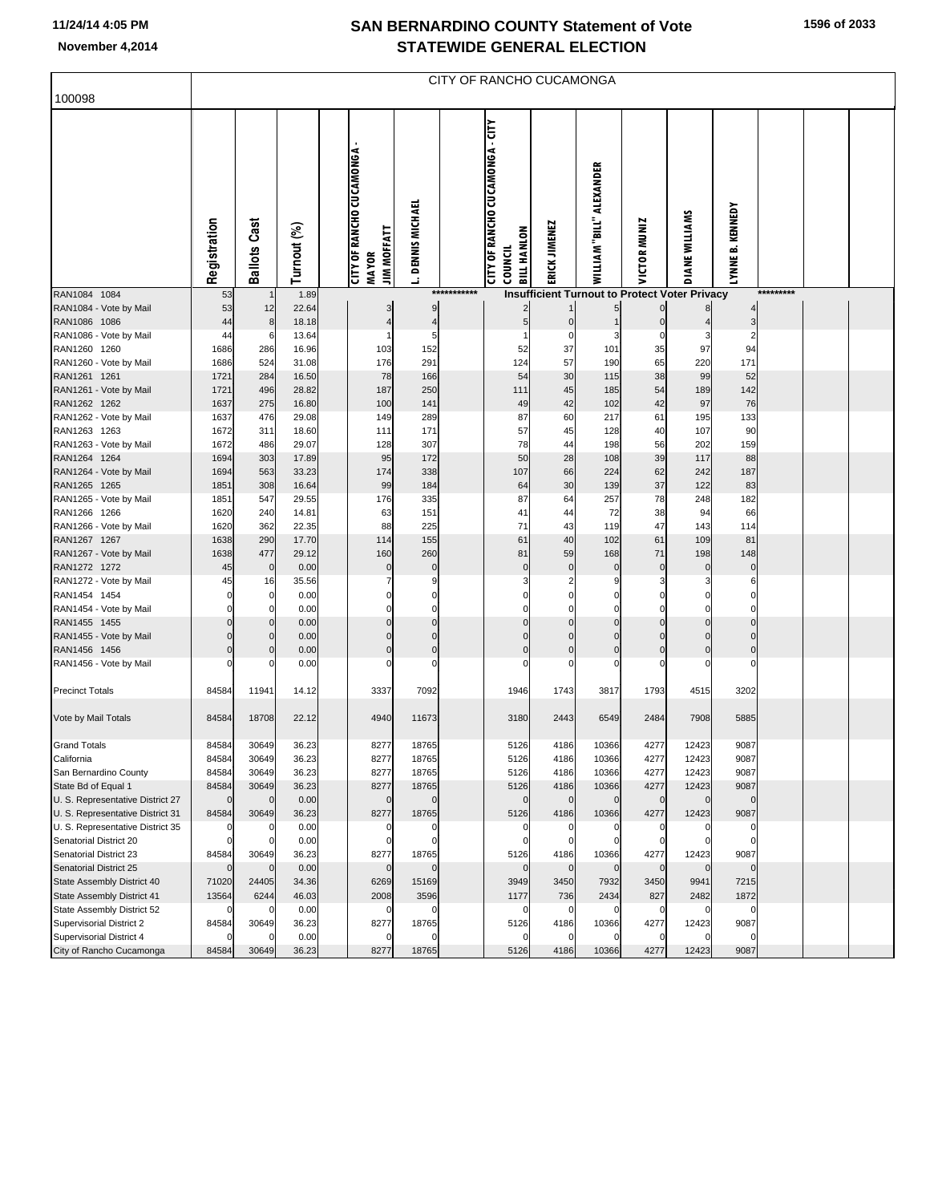#### **SAN BERNARDINO COUNTY Statement of Vote November 4,2014 STATEWIDE GENERAL ELECTION**

| 1596 of 2033 |
|--------------|
|--------------|

| 100098<br>CITY OF RANCHO CUCAMONGA - CITY<br><b>CITY OF RANCHO CUCAMONGA</b><br>WILLIAM "BILL" ALEXANDER<br><b>DENNIS MICHAEL</b><br>LYNNE B. KENNEDY<br>DIANE WILLIAMS<br><b>Ballots Cast</b><br>Registration<br>VICTOR MUNIZ<br>ERICK JIMENEZ<br>Turnout (%)<br><b>JIM MOFFATT</b><br><b>BILL HANLON</b><br>COUNCIL<br><b>MAYOR</b><br>RAN1084 1084<br>1.89<br>************<br>*********<br><b>Insufficient Turnout to Protect Voter Privacy</b><br>53<br>RAN1084 - Vote by Mail<br>53<br>12<br>22.64<br>9<br>3<br>RAN1086 1086<br>44<br>18.18<br>5<br>8<br>4<br>$\overline{4}$<br>$\mathbf 0$<br>3<br>RAN1086 - Vote by Mail<br>13.64<br>$\overline{2}$<br>44<br>C<br>6<br>5<br>з<br>0<br>RAN1260 1260<br>1686<br>286<br>16.96<br>103<br>152<br>37<br>101<br>35<br>97<br>94<br>52<br>171<br>RAN1260 - Vote by Mail<br>1686<br>524<br>31.08<br>176<br>291<br>124<br>57<br>190<br>65<br>220<br>284<br>38<br>RAN1261 1261<br>1721<br>16.50<br>78<br>166<br>54<br>30<br>115<br>99<br>52<br>142<br>RAN1261 - Vote by Mail<br>1721<br>496<br>28.82<br>187<br>250<br>189<br>111<br>45<br>185<br>54<br>42<br>97<br>76<br>RAN1262 1262<br>1637<br>275<br>16.80<br>100<br>141<br>42<br>102<br>49<br>RAN1262 - Vote by Mail<br>29.08<br>217<br>133<br>1637<br>476<br>149<br>289<br>87<br>60<br>61<br>195<br>RAN1263 1263<br>311<br>18.60<br>111<br>171<br>57<br>45<br>128<br>40<br>107<br>90<br>1672<br>RAN1263 - Vote by Mail<br>1672<br>486<br>29.07<br>128<br>307<br>78<br>44<br>198<br>56<br>202<br>159<br>28<br>39<br>RAN1264 1264<br>1694<br>303<br>17.89<br>95<br>172<br>50<br>108<br>117<br>88<br>RAN1264 - Vote by Mail<br>1694<br>563<br>33.23<br>174<br>338<br>107<br>224<br>62<br>242<br>187<br>66<br>37<br>RAN1265 1265<br>1851<br>308<br>16.64<br>99<br>184<br>64<br>30<br>139<br>122<br>83<br>RAN1265 - Vote by Mail<br>547<br>29.55<br>335<br>257<br>78<br>248<br>182<br>1851<br>176<br>87<br>64<br>RAN1266 1266<br>1620<br>14.81<br>63<br>151<br>72<br>38<br>66<br>240<br>41<br>44<br>94<br>47<br>RAN1266 - Vote by Mail<br>1620<br>362<br>22.35<br>88<br>225<br>71<br>43<br>119<br>143<br>114<br>RAN1267 1267<br>1638<br>290<br>17.70<br>114<br>155<br>61<br>40<br>102<br>61<br>109<br>81<br>RAN1267 - Vote by Mail<br>1638<br>477<br>29.12<br>160<br>260<br>59<br>168<br>71<br>198<br>148<br>81<br>RAN1272 1272<br>45<br>0.00<br>$\pmb{0}$<br>$\mathbf 0$<br>$\mathbf 0$<br>$\mathbf 0$<br>$\mathbf 0$<br>$\mathbf 0$<br>$\mathbf 0$<br>$\mathbf 0$<br>0<br>RAN1272 - Vote by Mail<br>35.56<br>7<br>3<br>2<br>45<br>16<br>9<br>S<br>З<br>З<br>6<br>RAN1454 1454<br>0.00<br>$\mathbf 0$<br>0<br>$\Omega$<br>0<br>$\Omega$<br>C<br>0<br>0<br>0<br>RAN1454 - Vote by Mail<br>$\mathbf 0$<br>0.00<br>$\Omega$<br>$\Omega$<br>$\Omega$<br>$\Omega$<br>0<br>$\Omega$<br>C<br>$\Omega$<br>$\Omega$<br>RAN1455 1455<br>0.00<br>$\Omega$<br>$\mathcal{C}$<br>$\mathbf 0$<br>$\Omega$<br>$\Omega$<br>$\Omega$<br>RAN1455 - Vote by Mail<br>$\mathbf 0$<br>0.00<br>$\mathbf 0$<br>$\mathbf 0$<br>$\Omega$<br>$\Omega$<br>$\mathcal{C}$<br>$\Omega$<br>$\Omega$<br>$\Omega$<br>$\Omega$<br>RAN1456 1456<br>$\mathbf 0$<br>0.00<br>$\mathbf 0$<br>$\mathbf 0$<br>$\mathbf 0$<br>$\mathbf 0$<br>$\mathbf 0$<br>$\mathbf 0$<br>$\mathbf 0$<br>$\mathbf 0$<br>$\Omega$<br>RAN1456 - Vote by Mail<br>0.00<br>$\Omega$<br>$\mathcal{C}$<br>$\mathcal{C}$<br>C<br>C<br>r<br><b>Precinct Totals</b><br>84584<br>11941<br>14.12<br>3337<br>7092<br>1946<br>1743<br>3817<br>1793<br>4515<br>3202<br>Vote by Mail Totals<br>84584<br>18708<br>22.12<br>4940<br>11673<br>3180<br>2443<br>6549<br>2484<br>7908<br>5885<br><b>Grand Totals</b><br>84584<br>30649<br>36.23<br>8277<br>18765<br>5126<br>4186<br>10366<br>4277<br>12423<br>9087<br>12423<br>California<br>84584<br>30649<br>36.23<br>8277<br>18765<br>5126<br>4186<br>10366<br>4277<br>9087<br>San Bernardino County<br>84584<br>30649<br>36.23<br>8277<br>18765<br>5126<br>4186<br>10366<br>4277<br>12423<br>9087<br>84584<br>30649<br>36.23<br>8277<br>18765<br>5126<br>4186<br>10366<br>4277<br>12423<br>9087<br>State Bd of Equal 1<br>U. S. Representative District 27<br>0.00<br>$\mathbf 0$<br>$\mathbf 0$<br>$\mathbf 0$<br>$\mathbf 0$<br>$\mathbf 0$<br>$\mathbf 0$<br>$\mathbf 0$<br>$\Omega$<br>$\mathcal{C}$<br>$\Omega$<br>U. S. Representative District 31<br>36.23<br>18765<br>5126<br>4277<br>12423<br>9087<br>84584<br>30649<br>8277<br>4186<br>10366<br>0.00<br>U. S. Representative District 35<br>0<br>$\mathcal{C}$<br>$\Omega$<br>0<br>0<br>C<br>0<br>Senatorial District 20<br>0.00<br>$\Omega$<br>$\mathcal{C}$<br>$\mathbf 0$<br>Senatorial District 23<br>30649<br>36.23<br>8277<br>18765<br>5126<br>4186<br>4277<br>12423<br>9087<br>84584<br>10366<br>Senatorial District 25<br>0.00<br>$\mathbf 0$<br>$\mathbf 0$<br>$\mathbf 0$<br>$\Omega$<br>$\mathbf 0$<br>$\Omega$<br>$\mathbf 0$<br>$\mathbf 0$<br>$\Omega$<br>State Assembly District 40<br>71020<br>24405<br>34.36<br>15169<br>3949<br>3450<br>7932<br>3450<br>9941<br>7215<br>6269<br>13564<br>6244<br>46.03<br>2008<br>3596<br>2434<br>827<br>2482<br>1872<br>State Assembly District 41<br>1177<br>736<br>State Assembly District 52<br>0.00<br>$\mathbf 0$<br>$\mathbf 0$<br>0<br>0<br>C<br>$\mathsf{C}$<br>0<br>0<br>Supervisorial District 2<br>36.23<br>8277<br>18765<br>5126<br>4277<br>9087<br>84584<br>30649<br>4186<br>10366<br>12423<br>Supervisorial District 4<br>0.00<br>$\mathsf{C}$<br>0<br>$\Omega$<br>84584<br>30649<br>36.23<br>8277<br>18765<br>5126<br>4186<br>10366<br>4277<br>12423<br>9087<br>City of Rancho Cucamonga | CITY OF RANCHO CUCAMONGA |  |  |  |  |  |  |  |  |  |  |  |  |  |  |  |
|-------------------------------------------------------------------------------------------------------------------------------------------------------------------------------------------------------------------------------------------------------------------------------------------------------------------------------------------------------------------------------------------------------------------------------------------------------------------------------------------------------------------------------------------------------------------------------------------------------------------------------------------------------------------------------------------------------------------------------------------------------------------------------------------------------------------------------------------------------------------------------------------------------------------------------------------------------------------------------------------------------------------------------------------------------------------------------------------------------------------------------------------------------------------------------------------------------------------------------------------------------------------------------------------------------------------------------------------------------------------------------------------------------------------------------------------------------------------------------------------------------------------------------------------------------------------------------------------------------------------------------------------------------------------------------------------------------------------------------------------------------------------------------------------------------------------------------------------------------------------------------------------------------------------------------------------------------------------------------------------------------------------------------------------------------------------------------------------------------------------------------------------------------------------------------------------------------------------------------------------------------------------------------------------------------------------------------------------------------------------------------------------------------------------------------------------------------------------------------------------------------------------------------------------------------------------------------------------------------------------------------------------------------------------------------------------------------------------------------------------------------------------------------------------------------------------------------------------------------------------------------------------------------------------------------------------------------------------------------------------------------------------------------------------------------------------------------------------------------------------------------------------------------------------------------------------------------------------------------------------------------------------------------------------------------------------------------------------------------------------------------------------------------------------------------------------------------------------------------------------------------------------------------------------------------------------------------------------------------------------------------------------------------------------------------------------------------------------------------------------------------------------------------------------------------------------------------------------------------------------------------------------------------------------------------------------------------------------------------------------------------------------------------------------------------------------------------------------------------------------------------------------------------------------------------------------------------------------------------------------------------------------------------------------------------------------------------------------------------------------------------------------------------------------------------------------------------------------------------------------------------------------------------------------------------------------------------------------------------------------------------------------------------------------------------------------------------------------------------------------------------------------------------------------------------------------------------------------------------------------------------------------------------------------------------------------------------------------------------------------------------------------------------------------------------------------------------------------------------------------------------------------------------------------------------------------------------------------------------------------------------------------------------------------------------------------------------------------------------------------------------------------------------------------------------------------------------------------------------------------------------------------------------------------------------------------------------------|--------------------------|--|--|--|--|--|--|--|--|--|--|--|--|--|--|--|
|                                                                                                                                                                                                                                                                                                                                                                                                                                                                                                                                                                                                                                                                                                                                                                                                                                                                                                                                                                                                                                                                                                                                                                                                                                                                                                                                                                                                                                                                                                                                                                                                                                                                                                                                                                                                                                                                                                                                                                                                                                                                                                                                                                                                                                                                                                                                                                                                                                                                                                                                                                                                                                                                                                                                                                                                                                                                                                                                                                                                                                                                                                                                                                                                                                                                                                                                                                                                                                                                                                                                                                                                                                                                                                                                                                                                                                                                                                                                                                                                                                                                                                                                                                                                                                                                                                                                                                                                                                                                                                                                                                                                                                                                                                                                                                                                                                                                                                                                                                                                                                                                                                                                                                                                                                                                                                                                                                                                                                                                                                                                                                                     |                          |  |  |  |  |  |  |  |  |  |  |  |  |  |  |  |
|                                                                                                                                                                                                                                                                                                                                                                                                                                                                                                                                                                                                                                                                                                                                                                                                                                                                                                                                                                                                                                                                                                                                                                                                                                                                                                                                                                                                                                                                                                                                                                                                                                                                                                                                                                                                                                                                                                                                                                                                                                                                                                                                                                                                                                                                                                                                                                                                                                                                                                                                                                                                                                                                                                                                                                                                                                                                                                                                                                                                                                                                                                                                                                                                                                                                                                                                                                                                                                                                                                                                                                                                                                                                                                                                                                                                                                                                                                                                                                                                                                                                                                                                                                                                                                                                                                                                                                                                                                                                                                                                                                                                                                                                                                                                                                                                                                                                                                                                                                                                                                                                                                                                                                                                                                                                                                                                                                                                                                                                                                                                                                                     |                          |  |  |  |  |  |  |  |  |  |  |  |  |  |  |  |
|                                                                                                                                                                                                                                                                                                                                                                                                                                                                                                                                                                                                                                                                                                                                                                                                                                                                                                                                                                                                                                                                                                                                                                                                                                                                                                                                                                                                                                                                                                                                                                                                                                                                                                                                                                                                                                                                                                                                                                                                                                                                                                                                                                                                                                                                                                                                                                                                                                                                                                                                                                                                                                                                                                                                                                                                                                                                                                                                                                                                                                                                                                                                                                                                                                                                                                                                                                                                                                                                                                                                                                                                                                                                                                                                                                                                                                                                                                                                                                                                                                                                                                                                                                                                                                                                                                                                                                                                                                                                                                                                                                                                                                                                                                                                                                                                                                                                                                                                                                                                                                                                                                                                                                                                                                                                                                                                                                                                                                                                                                                                                                                     |                          |  |  |  |  |  |  |  |  |  |  |  |  |  |  |  |
|                                                                                                                                                                                                                                                                                                                                                                                                                                                                                                                                                                                                                                                                                                                                                                                                                                                                                                                                                                                                                                                                                                                                                                                                                                                                                                                                                                                                                                                                                                                                                                                                                                                                                                                                                                                                                                                                                                                                                                                                                                                                                                                                                                                                                                                                                                                                                                                                                                                                                                                                                                                                                                                                                                                                                                                                                                                                                                                                                                                                                                                                                                                                                                                                                                                                                                                                                                                                                                                                                                                                                                                                                                                                                                                                                                                                                                                                                                                                                                                                                                                                                                                                                                                                                                                                                                                                                                                                                                                                                                                                                                                                                                                                                                                                                                                                                                                                                                                                                                                                                                                                                                                                                                                                                                                                                                                                                                                                                                                                                                                                                                                     |                          |  |  |  |  |  |  |  |  |  |  |  |  |  |  |  |
|                                                                                                                                                                                                                                                                                                                                                                                                                                                                                                                                                                                                                                                                                                                                                                                                                                                                                                                                                                                                                                                                                                                                                                                                                                                                                                                                                                                                                                                                                                                                                                                                                                                                                                                                                                                                                                                                                                                                                                                                                                                                                                                                                                                                                                                                                                                                                                                                                                                                                                                                                                                                                                                                                                                                                                                                                                                                                                                                                                                                                                                                                                                                                                                                                                                                                                                                                                                                                                                                                                                                                                                                                                                                                                                                                                                                                                                                                                                                                                                                                                                                                                                                                                                                                                                                                                                                                                                                                                                                                                                                                                                                                                                                                                                                                                                                                                                                                                                                                                                                                                                                                                                                                                                                                                                                                                                                                                                                                                                                                                                                                                                     |                          |  |  |  |  |  |  |  |  |  |  |  |  |  |  |  |
|                                                                                                                                                                                                                                                                                                                                                                                                                                                                                                                                                                                                                                                                                                                                                                                                                                                                                                                                                                                                                                                                                                                                                                                                                                                                                                                                                                                                                                                                                                                                                                                                                                                                                                                                                                                                                                                                                                                                                                                                                                                                                                                                                                                                                                                                                                                                                                                                                                                                                                                                                                                                                                                                                                                                                                                                                                                                                                                                                                                                                                                                                                                                                                                                                                                                                                                                                                                                                                                                                                                                                                                                                                                                                                                                                                                                                                                                                                                                                                                                                                                                                                                                                                                                                                                                                                                                                                                                                                                                                                                                                                                                                                                                                                                                                                                                                                                                                                                                                                                                                                                                                                                                                                                                                                                                                                                                                                                                                                                                                                                                                                                     |                          |  |  |  |  |  |  |  |  |  |  |  |  |  |  |  |
|                                                                                                                                                                                                                                                                                                                                                                                                                                                                                                                                                                                                                                                                                                                                                                                                                                                                                                                                                                                                                                                                                                                                                                                                                                                                                                                                                                                                                                                                                                                                                                                                                                                                                                                                                                                                                                                                                                                                                                                                                                                                                                                                                                                                                                                                                                                                                                                                                                                                                                                                                                                                                                                                                                                                                                                                                                                                                                                                                                                                                                                                                                                                                                                                                                                                                                                                                                                                                                                                                                                                                                                                                                                                                                                                                                                                                                                                                                                                                                                                                                                                                                                                                                                                                                                                                                                                                                                                                                                                                                                                                                                                                                                                                                                                                                                                                                                                                                                                                                                                                                                                                                                                                                                                                                                                                                                                                                                                                                                                                                                                                                                     |                          |  |  |  |  |  |  |  |  |  |  |  |  |  |  |  |
|                                                                                                                                                                                                                                                                                                                                                                                                                                                                                                                                                                                                                                                                                                                                                                                                                                                                                                                                                                                                                                                                                                                                                                                                                                                                                                                                                                                                                                                                                                                                                                                                                                                                                                                                                                                                                                                                                                                                                                                                                                                                                                                                                                                                                                                                                                                                                                                                                                                                                                                                                                                                                                                                                                                                                                                                                                                                                                                                                                                                                                                                                                                                                                                                                                                                                                                                                                                                                                                                                                                                                                                                                                                                                                                                                                                                                                                                                                                                                                                                                                                                                                                                                                                                                                                                                                                                                                                                                                                                                                                                                                                                                                                                                                                                                                                                                                                                                                                                                                                                                                                                                                                                                                                                                                                                                                                                                                                                                                                                                                                                                                                     |                          |  |  |  |  |  |  |  |  |  |  |  |  |  |  |  |
|                                                                                                                                                                                                                                                                                                                                                                                                                                                                                                                                                                                                                                                                                                                                                                                                                                                                                                                                                                                                                                                                                                                                                                                                                                                                                                                                                                                                                                                                                                                                                                                                                                                                                                                                                                                                                                                                                                                                                                                                                                                                                                                                                                                                                                                                                                                                                                                                                                                                                                                                                                                                                                                                                                                                                                                                                                                                                                                                                                                                                                                                                                                                                                                                                                                                                                                                                                                                                                                                                                                                                                                                                                                                                                                                                                                                                                                                                                                                                                                                                                                                                                                                                                                                                                                                                                                                                                                                                                                                                                                                                                                                                                                                                                                                                                                                                                                                                                                                                                                                                                                                                                                                                                                                                                                                                                                                                                                                                                                                                                                                                                                     |                          |  |  |  |  |  |  |  |  |  |  |  |  |  |  |  |
|                                                                                                                                                                                                                                                                                                                                                                                                                                                                                                                                                                                                                                                                                                                                                                                                                                                                                                                                                                                                                                                                                                                                                                                                                                                                                                                                                                                                                                                                                                                                                                                                                                                                                                                                                                                                                                                                                                                                                                                                                                                                                                                                                                                                                                                                                                                                                                                                                                                                                                                                                                                                                                                                                                                                                                                                                                                                                                                                                                                                                                                                                                                                                                                                                                                                                                                                                                                                                                                                                                                                                                                                                                                                                                                                                                                                                                                                                                                                                                                                                                                                                                                                                                                                                                                                                                                                                                                                                                                                                                                                                                                                                                                                                                                                                                                                                                                                                                                                                                                                                                                                                                                                                                                                                                                                                                                                                                                                                                                                                                                                                                                     |                          |  |  |  |  |  |  |  |  |  |  |  |  |  |  |  |
|                                                                                                                                                                                                                                                                                                                                                                                                                                                                                                                                                                                                                                                                                                                                                                                                                                                                                                                                                                                                                                                                                                                                                                                                                                                                                                                                                                                                                                                                                                                                                                                                                                                                                                                                                                                                                                                                                                                                                                                                                                                                                                                                                                                                                                                                                                                                                                                                                                                                                                                                                                                                                                                                                                                                                                                                                                                                                                                                                                                                                                                                                                                                                                                                                                                                                                                                                                                                                                                                                                                                                                                                                                                                                                                                                                                                                                                                                                                                                                                                                                                                                                                                                                                                                                                                                                                                                                                                                                                                                                                                                                                                                                                                                                                                                                                                                                                                                                                                                                                                                                                                                                                                                                                                                                                                                                                                                                                                                                                                                                                                                                                     |                          |  |  |  |  |  |  |  |  |  |  |  |  |  |  |  |
|                                                                                                                                                                                                                                                                                                                                                                                                                                                                                                                                                                                                                                                                                                                                                                                                                                                                                                                                                                                                                                                                                                                                                                                                                                                                                                                                                                                                                                                                                                                                                                                                                                                                                                                                                                                                                                                                                                                                                                                                                                                                                                                                                                                                                                                                                                                                                                                                                                                                                                                                                                                                                                                                                                                                                                                                                                                                                                                                                                                                                                                                                                                                                                                                                                                                                                                                                                                                                                                                                                                                                                                                                                                                                                                                                                                                                                                                                                                                                                                                                                                                                                                                                                                                                                                                                                                                                                                                                                                                                                                                                                                                                                                                                                                                                                                                                                                                                                                                                                                                                                                                                                                                                                                                                                                                                                                                                                                                                                                                                                                                                                                     |                          |  |  |  |  |  |  |  |  |  |  |  |  |  |  |  |
|                                                                                                                                                                                                                                                                                                                                                                                                                                                                                                                                                                                                                                                                                                                                                                                                                                                                                                                                                                                                                                                                                                                                                                                                                                                                                                                                                                                                                                                                                                                                                                                                                                                                                                                                                                                                                                                                                                                                                                                                                                                                                                                                                                                                                                                                                                                                                                                                                                                                                                                                                                                                                                                                                                                                                                                                                                                                                                                                                                                                                                                                                                                                                                                                                                                                                                                                                                                                                                                                                                                                                                                                                                                                                                                                                                                                                                                                                                                                                                                                                                                                                                                                                                                                                                                                                                                                                                                                                                                                                                                                                                                                                                                                                                                                                                                                                                                                                                                                                                                                                                                                                                                                                                                                                                                                                                                                                                                                                                                                                                                                                                                     |                          |  |  |  |  |  |  |  |  |  |  |  |  |  |  |  |
|                                                                                                                                                                                                                                                                                                                                                                                                                                                                                                                                                                                                                                                                                                                                                                                                                                                                                                                                                                                                                                                                                                                                                                                                                                                                                                                                                                                                                                                                                                                                                                                                                                                                                                                                                                                                                                                                                                                                                                                                                                                                                                                                                                                                                                                                                                                                                                                                                                                                                                                                                                                                                                                                                                                                                                                                                                                                                                                                                                                                                                                                                                                                                                                                                                                                                                                                                                                                                                                                                                                                                                                                                                                                                                                                                                                                                                                                                                                                                                                                                                                                                                                                                                                                                                                                                                                                                                                                                                                                                                                                                                                                                                                                                                                                                                                                                                                                                                                                                                                                                                                                                                                                                                                                                                                                                                                                                                                                                                                                                                                                                                                     |                          |  |  |  |  |  |  |  |  |  |  |  |  |  |  |  |
|                                                                                                                                                                                                                                                                                                                                                                                                                                                                                                                                                                                                                                                                                                                                                                                                                                                                                                                                                                                                                                                                                                                                                                                                                                                                                                                                                                                                                                                                                                                                                                                                                                                                                                                                                                                                                                                                                                                                                                                                                                                                                                                                                                                                                                                                                                                                                                                                                                                                                                                                                                                                                                                                                                                                                                                                                                                                                                                                                                                                                                                                                                                                                                                                                                                                                                                                                                                                                                                                                                                                                                                                                                                                                                                                                                                                                                                                                                                                                                                                                                                                                                                                                                                                                                                                                                                                                                                                                                                                                                                                                                                                                                                                                                                                                                                                                                                                                                                                                                                                                                                                                                                                                                                                                                                                                                                                                                                                                                                                                                                                                                                     |                          |  |  |  |  |  |  |  |  |  |  |  |  |  |  |  |
|                                                                                                                                                                                                                                                                                                                                                                                                                                                                                                                                                                                                                                                                                                                                                                                                                                                                                                                                                                                                                                                                                                                                                                                                                                                                                                                                                                                                                                                                                                                                                                                                                                                                                                                                                                                                                                                                                                                                                                                                                                                                                                                                                                                                                                                                                                                                                                                                                                                                                                                                                                                                                                                                                                                                                                                                                                                                                                                                                                                                                                                                                                                                                                                                                                                                                                                                                                                                                                                                                                                                                                                                                                                                                                                                                                                                                                                                                                                                                                                                                                                                                                                                                                                                                                                                                                                                                                                                                                                                                                                                                                                                                                                                                                                                                                                                                                                                                                                                                                                                                                                                                                                                                                                                                                                                                                                                                                                                                                                                                                                                                                                     |                          |  |  |  |  |  |  |  |  |  |  |  |  |  |  |  |
|                                                                                                                                                                                                                                                                                                                                                                                                                                                                                                                                                                                                                                                                                                                                                                                                                                                                                                                                                                                                                                                                                                                                                                                                                                                                                                                                                                                                                                                                                                                                                                                                                                                                                                                                                                                                                                                                                                                                                                                                                                                                                                                                                                                                                                                                                                                                                                                                                                                                                                                                                                                                                                                                                                                                                                                                                                                                                                                                                                                                                                                                                                                                                                                                                                                                                                                                                                                                                                                                                                                                                                                                                                                                                                                                                                                                                                                                                                                                                                                                                                                                                                                                                                                                                                                                                                                                                                                                                                                                                                                                                                                                                                                                                                                                                                                                                                                                                                                                                                                                                                                                                                                                                                                                                                                                                                                                                                                                                                                                                                                                                                                     |                          |  |  |  |  |  |  |  |  |  |  |  |  |  |  |  |
|                                                                                                                                                                                                                                                                                                                                                                                                                                                                                                                                                                                                                                                                                                                                                                                                                                                                                                                                                                                                                                                                                                                                                                                                                                                                                                                                                                                                                                                                                                                                                                                                                                                                                                                                                                                                                                                                                                                                                                                                                                                                                                                                                                                                                                                                                                                                                                                                                                                                                                                                                                                                                                                                                                                                                                                                                                                                                                                                                                                                                                                                                                                                                                                                                                                                                                                                                                                                                                                                                                                                                                                                                                                                                                                                                                                                                                                                                                                                                                                                                                                                                                                                                                                                                                                                                                                                                                                                                                                                                                                                                                                                                                                                                                                                                                                                                                                                                                                                                                                                                                                                                                                                                                                                                                                                                                                                                                                                                                                                                                                                                                                     |                          |  |  |  |  |  |  |  |  |  |  |  |  |  |  |  |
|                                                                                                                                                                                                                                                                                                                                                                                                                                                                                                                                                                                                                                                                                                                                                                                                                                                                                                                                                                                                                                                                                                                                                                                                                                                                                                                                                                                                                                                                                                                                                                                                                                                                                                                                                                                                                                                                                                                                                                                                                                                                                                                                                                                                                                                                                                                                                                                                                                                                                                                                                                                                                                                                                                                                                                                                                                                                                                                                                                                                                                                                                                                                                                                                                                                                                                                                                                                                                                                                                                                                                                                                                                                                                                                                                                                                                                                                                                                                                                                                                                                                                                                                                                                                                                                                                                                                                                                                                                                                                                                                                                                                                                                                                                                                                                                                                                                                                                                                                                                                                                                                                                                                                                                                                                                                                                                                                                                                                                                                                                                                                                                     |                          |  |  |  |  |  |  |  |  |  |  |  |  |  |  |  |
|                                                                                                                                                                                                                                                                                                                                                                                                                                                                                                                                                                                                                                                                                                                                                                                                                                                                                                                                                                                                                                                                                                                                                                                                                                                                                                                                                                                                                                                                                                                                                                                                                                                                                                                                                                                                                                                                                                                                                                                                                                                                                                                                                                                                                                                                                                                                                                                                                                                                                                                                                                                                                                                                                                                                                                                                                                                                                                                                                                                                                                                                                                                                                                                                                                                                                                                                                                                                                                                                                                                                                                                                                                                                                                                                                                                                                                                                                                                                                                                                                                                                                                                                                                                                                                                                                                                                                                                                                                                                                                                                                                                                                                                                                                                                                                                                                                                                                                                                                                                                                                                                                                                                                                                                                                                                                                                                                                                                                                                                                                                                                                                     |                          |  |  |  |  |  |  |  |  |  |  |  |  |  |  |  |
|                                                                                                                                                                                                                                                                                                                                                                                                                                                                                                                                                                                                                                                                                                                                                                                                                                                                                                                                                                                                                                                                                                                                                                                                                                                                                                                                                                                                                                                                                                                                                                                                                                                                                                                                                                                                                                                                                                                                                                                                                                                                                                                                                                                                                                                                                                                                                                                                                                                                                                                                                                                                                                                                                                                                                                                                                                                                                                                                                                                                                                                                                                                                                                                                                                                                                                                                                                                                                                                                                                                                                                                                                                                                                                                                                                                                                                                                                                                                                                                                                                                                                                                                                                                                                                                                                                                                                                                                                                                                                                                                                                                                                                                                                                                                                                                                                                                                                                                                                                                                                                                                                                                                                                                                                                                                                                                                                                                                                                                                                                                                                                                     |                          |  |  |  |  |  |  |  |  |  |  |  |  |  |  |  |
|                                                                                                                                                                                                                                                                                                                                                                                                                                                                                                                                                                                                                                                                                                                                                                                                                                                                                                                                                                                                                                                                                                                                                                                                                                                                                                                                                                                                                                                                                                                                                                                                                                                                                                                                                                                                                                                                                                                                                                                                                                                                                                                                                                                                                                                                                                                                                                                                                                                                                                                                                                                                                                                                                                                                                                                                                                                                                                                                                                                                                                                                                                                                                                                                                                                                                                                                                                                                                                                                                                                                                                                                                                                                                                                                                                                                                                                                                                                                                                                                                                                                                                                                                                                                                                                                                                                                                                                                                                                                                                                                                                                                                                                                                                                                                                                                                                                                                                                                                                                                                                                                                                                                                                                                                                                                                                                                                                                                                                                                                                                                                                                     |                          |  |  |  |  |  |  |  |  |  |  |  |  |  |  |  |
|                                                                                                                                                                                                                                                                                                                                                                                                                                                                                                                                                                                                                                                                                                                                                                                                                                                                                                                                                                                                                                                                                                                                                                                                                                                                                                                                                                                                                                                                                                                                                                                                                                                                                                                                                                                                                                                                                                                                                                                                                                                                                                                                                                                                                                                                                                                                                                                                                                                                                                                                                                                                                                                                                                                                                                                                                                                                                                                                                                                                                                                                                                                                                                                                                                                                                                                                                                                                                                                                                                                                                                                                                                                                                                                                                                                                                                                                                                                                                                                                                                                                                                                                                                                                                                                                                                                                                                                                                                                                                                                                                                                                                                                                                                                                                                                                                                                                                                                                                                                                                                                                                                                                                                                                                                                                                                                                                                                                                                                                                                                                                                                     |                          |  |  |  |  |  |  |  |  |  |  |  |  |  |  |  |
|                                                                                                                                                                                                                                                                                                                                                                                                                                                                                                                                                                                                                                                                                                                                                                                                                                                                                                                                                                                                                                                                                                                                                                                                                                                                                                                                                                                                                                                                                                                                                                                                                                                                                                                                                                                                                                                                                                                                                                                                                                                                                                                                                                                                                                                                                                                                                                                                                                                                                                                                                                                                                                                                                                                                                                                                                                                                                                                                                                                                                                                                                                                                                                                                                                                                                                                                                                                                                                                                                                                                                                                                                                                                                                                                                                                                                                                                                                                                                                                                                                                                                                                                                                                                                                                                                                                                                                                                                                                                                                                                                                                                                                                                                                                                                                                                                                                                                                                                                                                                                                                                                                                                                                                                                                                                                                                                                                                                                                                                                                                                                                                     |                          |  |  |  |  |  |  |  |  |  |  |  |  |  |  |  |
|                                                                                                                                                                                                                                                                                                                                                                                                                                                                                                                                                                                                                                                                                                                                                                                                                                                                                                                                                                                                                                                                                                                                                                                                                                                                                                                                                                                                                                                                                                                                                                                                                                                                                                                                                                                                                                                                                                                                                                                                                                                                                                                                                                                                                                                                                                                                                                                                                                                                                                                                                                                                                                                                                                                                                                                                                                                                                                                                                                                                                                                                                                                                                                                                                                                                                                                                                                                                                                                                                                                                                                                                                                                                                                                                                                                                                                                                                                                                                                                                                                                                                                                                                                                                                                                                                                                                                                                                                                                                                                                                                                                                                                                                                                                                                                                                                                                                                                                                                                                                                                                                                                                                                                                                                                                                                                                                                                                                                                                                                                                                                                                     |                          |  |  |  |  |  |  |  |  |  |  |  |  |  |  |  |
|                                                                                                                                                                                                                                                                                                                                                                                                                                                                                                                                                                                                                                                                                                                                                                                                                                                                                                                                                                                                                                                                                                                                                                                                                                                                                                                                                                                                                                                                                                                                                                                                                                                                                                                                                                                                                                                                                                                                                                                                                                                                                                                                                                                                                                                                                                                                                                                                                                                                                                                                                                                                                                                                                                                                                                                                                                                                                                                                                                                                                                                                                                                                                                                                                                                                                                                                                                                                                                                                                                                                                                                                                                                                                                                                                                                                                                                                                                                                                                                                                                                                                                                                                                                                                                                                                                                                                                                                                                                                                                                                                                                                                                                                                                                                                                                                                                                                                                                                                                                                                                                                                                                                                                                                                                                                                                                                                                                                                                                                                                                                                                                     |                          |  |  |  |  |  |  |  |  |  |  |  |  |  |  |  |
|                                                                                                                                                                                                                                                                                                                                                                                                                                                                                                                                                                                                                                                                                                                                                                                                                                                                                                                                                                                                                                                                                                                                                                                                                                                                                                                                                                                                                                                                                                                                                                                                                                                                                                                                                                                                                                                                                                                                                                                                                                                                                                                                                                                                                                                                                                                                                                                                                                                                                                                                                                                                                                                                                                                                                                                                                                                                                                                                                                                                                                                                                                                                                                                                                                                                                                                                                                                                                                                                                                                                                                                                                                                                                                                                                                                                                                                                                                                                                                                                                                                                                                                                                                                                                                                                                                                                                                                                                                                                                                                                                                                                                                                                                                                                                                                                                                                                                                                                                                                                                                                                                                                                                                                                                                                                                                                                                                                                                                                                                                                                                                                     |                          |  |  |  |  |  |  |  |  |  |  |  |  |  |  |  |
|                                                                                                                                                                                                                                                                                                                                                                                                                                                                                                                                                                                                                                                                                                                                                                                                                                                                                                                                                                                                                                                                                                                                                                                                                                                                                                                                                                                                                                                                                                                                                                                                                                                                                                                                                                                                                                                                                                                                                                                                                                                                                                                                                                                                                                                                                                                                                                                                                                                                                                                                                                                                                                                                                                                                                                                                                                                                                                                                                                                                                                                                                                                                                                                                                                                                                                                                                                                                                                                                                                                                                                                                                                                                                                                                                                                                                                                                                                                                                                                                                                                                                                                                                                                                                                                                                                                                                                                                                                                                                                                                                                                                                                                                                                                                                                                                                                                                                                                                                                                                                                                                                                                                                                                                                                                                                                                                                                                                                                                                                                                                                                                     |                          |  |  |  |  |  |  |  |  |  |  |  |  |  |  |  |
|                                                                                                                                                                                                                                                                                                                                                                                                                                                                                                                                                                                                                                                                                                                                                                                                                                                                                                                                                                                                                                                                                                                                                                                                                                                                                                                                                                                                                                                                                                                                                                                                                                                                                                                                                                                                                                                                                                                                                                                                                                                                                                                                                                                                                                                                                                                                                                                                                                                                                                                                                                                                                                                                                                                                                                                                                                                                                                                                                                                                                                                                                                                                                                                                                                                                                                                                                                                                                                                                                                                                                                                                                                                                                                                                                                                                                                                                                                                                                                                                                                                                                                                                                                                                                                                                                                                                                                                                                                                                                                                                                                                                                                                                                                                                                                                                                                                                                                                                                                                                                                                                                                                                                                                                                                                                                                                                                                                                                                                                                                                                                                                     |                          |  |  |  |  |  |  |  |  |  |  |  |  |  |  |  |
|                                                                                                                                                                                                                                                                                                                                                                                                                                                                                                                                                                                                                                                                                                                                                                                                                                                                                                                                                                                                                                                                                                                                                                                                                                                                                                                                                                                                                                                                                                                                                                                                                                                                                                                                                                                                                                                                                                                                                                                                                                                                                                                                                                                                                                                                                                                                                                                                                                                                                                                                                                                                                                                                                                                                                                                                                                                                                                                                                                                                                                                                                                                                                                                                                                                                                                                                                                                                                                                                                                                                                                                                                                                                                                                                                                                                                                                                                                                                                                                                                                                                                                                                                                                                                                                                                                                                                                                                                                                                                                                                                                                                                                                                                                                                                                                                                                                                                                                                                                                                                                                                                                                                                                                                                                                                                                                                                                                                                                                                                                                                                                                     |                          |  |  |  |  |  |  |  |  |  |  |  |  |  |  |  |
|                                                                                                                                                                                                                                                                                                                                                                                                                                                                                                                                                                                                                                                                                                                                                                                                                                                                                                                                                                                                                                                                                                                                                                                                                                                                                                                                                                                                                                                                                                                                                                                                                                                                                                                                                                                                                                                                                                                                                                                                                                                                                                                                                                                                                                                                                                                                                                                                                                                                                                                                                                                                                                                                                                                                                                                                                                                                                                                                                                                                                                                                                                                                                                                                                                                                                                                                                                                                                                                                                                                                                                                                                                                                                                                                                                                                                                                                                                                                                                                                                                                                                                                                                                                                                                                                                                                                                                                                                                                                                                                                                                                                                                                                                                                                                                                                                                                                                                                                                                                                                                                                                                                                                                                                                                                                                                                                                                                                                                                                                                                                                                                     |                          |  |  |  |  |  |  |  |  |  |  |  |  |  |  |  |
|                                                                                                                                                                                                                                                                                                                                                                                                                                                                                                                                                                                                                                                                                                                                                                                                                                                                                                                                                                                                                                                                                                                                                                                                                                                                                                                                                                                                                                                                                                                                                                                                                                                                                                                                                                                                                                                                                                                                                                                                                                                                                                                                                                                                                                                                                                                                                                                                                                                                                                                                                                                                                                                                                                                                                                                                                                                                                                                                                                                                                                                                                                                                                                                                                                                                                                                                                                                                                                                                                                                                                                                                                                                                                                                                                                                                                                                                                                                                                                                                                                                                                                                                                                                                                                                                                                                                                                                                                                                                                                                                                                                                                                                                                                                                                                                                                                                                                                                                                                                                                                                                                                                                                                                                                                                                                                                                                                                                                                                                                                                                                                                     |                          |  |  |  |  |  |  |  |  |  |  |  |  |  |  |  |
|                                                                                                                                                                                                                                                                                                                                                                                                                                                                                                                                                                                                                                                                                                                                                                                                                                                                                                                                                                                                                                                                                                                                                                                                                                                                                                                                                                                                                                                                                                                                                                                                                                                                                                                                                                                                                                                                                                                                                                                                                                                                                                                                                                                                                                                                                                                                                                                                                                                                                                                                                                                                                                                                                                                                                                                                                                                                                                                                                                                                                                                                                                                                                                                                                                                                                                                                                                                                                                                                                                                                                                                                                                                                                                                                                                                                                                                                                                                                                                                                                                                                                                                                                                                                                                                                                                                                                                                                                                                                                                                                                                                                                                                                                                                                                                                                                                                                                                                                                                                                                                                                                                                                                                                                                                                                                                                                                                                                                                                                                                                                                                                     |                          |  |  |  |  |  |  |  |  |  |  |  |  |  |  |  |
|                                                                                                                                                                                                                                                                                                                                                                                                                                                                                                                                                                                                                                                                                                                                                                                                                                                                                                                                                                                                                                                                                                                                                                                                                                                                                                                                                                                                                                                                                                                                                                                                                                                                                                                                                                                                                                                                                                                                                                                                                                                                                                                                                                                                                                                                                                                                                                                                                                                                                                                                                                                                                                                                                                                                                                                                                                                                                                                                                                                                                                                                                                                                                                                                                                                                                                                                                                                                                                                                                                                                                                                                                                                                                                                                                                                                                                                                                                                                                                                                                                                                                                                                                                                                                                                                                                                                                                                                                                                                                                                                                                                                                                                                                                                                                                                                                                                                                                                                                                                                                                                                                                                                                                                                                                                                                                                                                                                                                                                                                                                                                                                     |                          |  |  |  |  |  |  |  |  |  |  |  |  |  |  |  |
|                                                                                                                                                                                                                                                                                                                                                                                                                                                                                                                                                                                                                                                                                                                                                                                                                                                                                                                                                                                                                                                                                                                                                                                                                                                                                                                                                                                                                                                                                                                                                                                                                                                                                                                                                                                                                                                                                                                                                                                                                                                                                                                                                                                                                                                                                                                                                                                                                                                                                                                                                                                                                                                                                                                                                                                                                                                                                                                                                                                                                                                                                                                                                                                                                                                                                                                                                                                                                                                                                                                                                                                                                                                                                                                                                                                                                                                                                                                                                                                                                                                                                                                                                                                                                                                                                                                                                                                                                                                                                                                                                                                                                                                                                                                                                                                                                                                                                                                                                                                                                                                                                                                                                                                                                                                                                                                                                                                                                                                                                                                                                                                     |                          |  |  |  |  |  |  |  |  |  |  |  |  |  |  |  |
|                                                                                                                                                                                                                                                                                                                                                                                                                                                                                                                                                                                                                                                                                                                                                                                                                                                                                                                                                                                                                                                                                                                                                                                                                                                                                                                                                                                                                                                                                                                                                                                                                                                                                                                                                                                                                                                                                                                                                                                                                                                                                                                                                                                                                                                                                                                                                                                                                                                                                                                                                                                                                                                                                                                                                                                                                                                                                                                                                                                                                                                                                                                                                                                                                                                                                                                                                                                                                                                                                                                                                                                                                                                                                                                                                                                                                                                                                                                                                                                                                                                                                                                                                                                                                                                                                                                                                                                                                                                                                                                                                                                                                                                                                                                                                                                                                                                                                                                                                                                                                                                                                                                                                                                                                                                                                                                                                                                                                                                                                                                                                                                     |                          |  |  |  |  |  |  |  |  |  |  |  |  |  |  |  |
|                                                                                                                                                                                                                                                                                                                                                                                                                                                                                                                                                                                                                                                                                                                                                                                                                                                                                                                                                                                                                                                                                                                                                                                                                                                                                                                                                                                                                                                                                                                                                                                                                                                                                                                                                                                                                                                                                                                                                                                                                                                                                                                                                                                                                                                                                                                                                                                                                                                                                                                                                                                                                                                                                                                                                                                                                                                                                                                                                                                                                                                                                                                                                                                                                                                                                                                                                                                                                                                                                                                                                                                                                                                                                                                                                                                                                                                                                                                                                                                                                                                                                                                                                                                                                                                                                                                                                                                                                                                                                                                                                                                                                                                                                                                                                                                                                                                                                                                                                                                                                                                                                                                                                                                                                                                                                                                                                                                                                                                                                                                                                                                     |                          |  |  |  |  |  |  |  |  |  |  |  |  |  |  |  |
|                                                                                                                                                                                                                                                                                                                                                                                                                                                                                                                                                                                                                                                                                                                                                                                                                                                                                                                                                                                                                                                                                                                                                                                                                                                                                                                                                                                                                                                                                                                                                                                                                                                                                                                                                                                                                                                                                                                                                                                                                                                                                                                                                                                                                                                                                                                                                                                                                                                                                                                                                                                                                                                                                                                                                                                                                                                                                                                                                                                                                                                                                                                                                                                                                                                                                                                                                                                                                                                                                                                                                                                                                                                                                                                                                                                                                                                                                                                                                                                                                                                                                                                                                                                                                                                                                                                                                                                                                                                                                                                                                                                                                                                                                                                                                                                                                                                                                                                                                                                                                                                                                                                                                                                                                                                                                                                                                                                                                                                                                                                                                                                     |                          |  |  |  |  |  |  |  |  |  |  |  |  |  |  |  |
|                                                                                                                                                                                                                                                                                                                                                                                                                                                                                                                                                                                                                                                                                                                                                                                                                                                                                                                                                                                                                                                                                                                                                                                                                                                                                                                                                                                                                                                                                                                                                                                                                                                                                                                                                                                                                                                                                                                                                                                                                                                                                                                                                                                                                                                                                                                                                                                                                                                                                                                                                                                                                                                                                                                                                                                                                                                                                                                                                                                                                                                                                                                                                                                                                                                                                                                                                                                                                                                                                                                                                                                                                                                                                                                                                                                                                                                                                                                                                                                                                                                                                                                                                                                                                                                                                                                                                                                                                                                                                                                                                                                                                                                                                                                                                                                                                                                                                                                                                                                                                                                                                                                                                                                                                                                                                                                                                                                                                                                                                                                                                                                     |                          |  |  |  |  |  |  |  |  |  |  |  |  |  |  |  |
|                                                                                                                                                                                                                                                                                                                                                                                                                                                                                                                                                                                                                                                                                                                                                                                                                                                                                                                                                                                                                                                                                                                                                                                                                                                                                                                                                                                                                                                                                                                                                                                                                                                                                                                                                                                                                                                                                                                                                                                                                                                                                                                                                                                                                                                                                                                                                                                                                                                                                                                                                                                                                                                                                                                                                                                                                                                                                                                                                                                                                                                                                                                                                                                                                                                                                                                                                                                                                                                                                                                                                                                                                                                                                                                                                                                                                                                                                                                                                                                                                                                                                                                                                                                                                                                                                                                                                                                                                                                                                                                                                                                                                                                                                                                                                                                                                                                                                                                                                                                                                                                                                                                                                                                                                                                                                                                                                                                                                                                                                                                                                                                     |                          |  |  |  |  |  |  |  |  |  |  |  |  |  |  |  |
|                                                                                                                                                                                                                                                                                                                                                                                                                                                                                                                                                                                                                                                                                                                                                                                                                                                                                                                                                                                                                                                                                                                                                                                                                                                                                                                                                                                                                                                                                                                                                                                                                                                                                                                                                                                                                                                                                                                                                                                                                                                                                                                                                                                                                                                                                                                                                                                                                                                                                                                                                                                                                                                                                                                                                                                                                                                                                                                                                                                                                                                                                                                                                                                                                                                                                                                                                                                                                                                                                                                                                                                                                                                                                                                                                                                                                                                                                                                                                                                                                                                                                                                                                                                                                                                                                                                                                                                                                                                                                                                                                                                                                                                                                                                                                                                                                                                                                                                                                                                                                                                                                                                                                                                                                                                                                                                                                                                                                                                                                                                                                                                     |                          |  |  |  |  |  |  |  |  |  |  |  |  |  |  |  |
|                                                                                                                                                                                                                                                                                                                                                                                                                                                                                                                                                                                                                                                                                                                                                                                                                                                                                                                                                                                                                                                                                                                                                                                                                                                                                                                                                                                                                                                                                                                                                                                                                                                                                                                                                                                                                                                                                                                                                                                                                                                                                                                                                                                                                                                                                                                                                                                                                                                                                                                                                                                                                                                                                                                                                                                                                                                                                                                                                                                                                                                                                                                                                                                                                                                                                                                                                                                                                                                                                                                                                                                                                                                                                                                                                                                                                                                                                                                                                                                                                                                                                                                                                                                                                                                                                                                                                                                                                                                                                                                                                                                                                                                                                                                                                                                                                                                                                                                                                                                                                                                                                                                                                                                                                                                                                                                                                                                                                                                                                                                                                                                     |                          |  |  |  |  |  |  |  |  |  |  |  |  |  |  |  |
|                                                                                                                                                                                                                                                                                                                                                                                                                                                                                                                                                                                                                                                                                                                                                                                                                                                                                                                                                                                                                                                                                                                                                                                                                                                                                                                                                                                                                                                                                                                                                                                                                                                                                                                                                                                                                                                                                                                                                                                                                                                                                                                                                                                                                                                                                                                                                                                                                                                                                                                                                                                                                                                                                                                                                                                                                                                                                                                                                                                                                                                                                                                                                                                                                                                                                                                                                                                                                                                                                                                                                                                                                                                                                                                                                                                                                                                                                                                                                                                                                                                                                                                                                                                                                                                                                                                                                                                                                                                                                                                                                                                                                                                                                                                                                                                                                                                                                                                                                                                                                                                                                                                                                                                                                                                                                                                                                                                                                                                                                                                                                                                     |                          |  |  |  |  |  |  |  |  |  |  |  |  |  |  |  |
|                                                                                                                                                                                                                                                                                                                                                                                                                                                                                                                                                                                                                                                                                                                                                                                                                                                                                                                                                                                                                                                                                                                                                                                                                                                                                                                                                                                                                                                                                                                                                                                                                                                                                                                                                                                                                                                                                                                                                                                                                                                                                                                                                                                                                                                                                                                                                                                                                                                                                                                                                                                                                                                                                                                                                                                                                                                                                                                                                                                                                                                                                                                                                                                                                                                                                                                                                                                                                                                                                                                                                                                                                                                                                                                                                                                                                                                                                                                                                                                                                                                                                                                                                                                                                                                                                                                                                                                                                                                                                                                                                                                                                                                                                                                                                                                                                                                                                                                                                                                                                                                                                                                                                                                                                                                                                                                                                                                                                                                                                                                                                                                     |                          |  |  |  |  |  |  |  |  |  |  |  |  |  |  |  |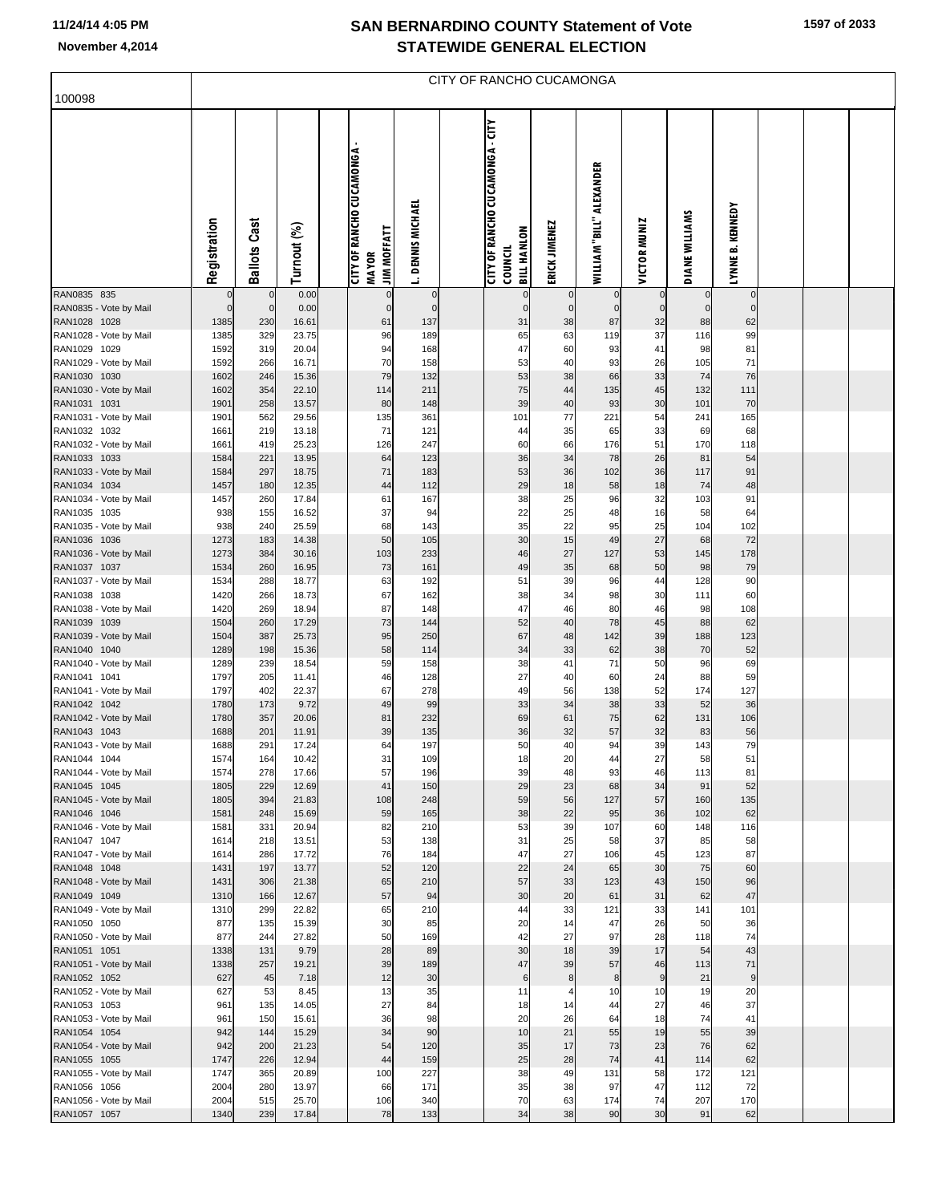| November 4,2014                        |                         |                             |              |                                                                         |                             | <b>STATEWIDE GENERAL ELECTION</b>                                       |                            |                              |                         |                             |                            |  |  |
|----------------------------------------|-------------------------|-----------------------------|--------------|-------------------------------------------------------------------------|-----------------------------|-------------------------------------------------------------------------|----------------------------|------------------------------|-------------------------|-----------------------------|----------------------------|--|--|
| 100098                                 |                         |                             |              |                                                                         |                             | CITY OF RANCHO CUCAMONGA                                                |                            |                              |                         |                             |                            |  |  |
|                                        | Registration            | <b>Ballots Cast</b>         | Turnout (%)  | <b>CITY OF RANCHO CUCAMONGA -</b><br><b>JIM MOFFATT</b><br><b>MAYOR</b> | <b>DENNIS MICHAEL</b><br>İ. | <b>CITY OF RANCHO CUCAMONGA - CITY</b><br><b>BILL HANLON</b><br>COUNCIL | ERICK JIMENEZ              | WILLIAM "BILL" ALEXANDER     | <b>VICTOR MUNIZ</b>     | DIANE WILLIAMS              | LYNNE B. KENNEDY           |  |  |
| RAN0835 835                            | $\mathbf 0$<br>$\Omega$ | $\mathbf 0$<br>$\mathbf{0}$ | 0.00<br>0.00 | $\mathbf{0}$<br>$\Omega$                                                | $\mathbf 0$<br>$\Omega$     | $\overline{0}$<br>$\mathbf{0}$                                          | $\mathbf 0$<br>$\mathbf 0$ | $\mathbf{0}$<br>$\mathbf{0}$ | $\mathbf 0$<br>$\Omega$ | $\mathbf 0$<br>$\mathbf{0}$ | $\mathbf 0$<br>$\mathbf 0$ |  |  |
| RAN0835 - Vote by Mail<br>RAN1028 1028 | 1385                    | 230                         | 16.61        | 61                                                                      | 137                         | 31                                                                      | 38                         | 87                           | 32                      | 88                          | 62                         |  |  |
| RAN1028 - Vote by Mail                 | 1385                    | 329                         | 23.75        | 96                                                                      | 189                         | 65                                                                      | 63                         | 119                          | 37                      | 116                         | 99                         |  |  |
| RAN1029 1029                           | 1592                    | 319                         | 20.04        | 94                                                                      | 168                         | 47                                                                      | 60                         | 93                           | 41                      | 98                          | 81                         |  |  |
| RAN1029 - Vote by Mail                 | 1592                    | 266                         | 16.71        | 70                                                                      | 158                         | 53                                                                      | 40                         | 93                           | 26                      | 105                         | 71                         |  |  |
| RAN1030 1030                           | 1602                    | 246                         | 15.36        | 79                                                                      | 132                         | 53                                                                      | 38                         | 66                           | 33                      | 74                          | 76                         |  |  |
| RAN1030 - Vote by Mail                 | 1602                    | 354                         | 22.10        | 114                                                                     | 211                         | 75                                                                      | 44                         | 135                          | 45                      | 132                         | 111                        |  |  |
| RAN1031 1031                           | 1901                    | 258                         | 13.57        | 80                                                                      | 148                         | 39                                                                      | 40                         | 93                           | 30                      | 101                         | 70                         |  |  |
| RAN1031 - Vote by Mail                 | 1901                    | 562                         | 29.56        | 135                                                                     | 361                         | 101                                                                     | 77                         | 221                          | 54                      | 241                         | 165                        |  |  |
| RAN1032 1032                           | 1661                    | 219                         | 13.18        | 71                                                                      | 121                         | 44                                                                      | 35                         | 65                           | 33                      | 69                          | 68                         |  |  |
| RAN1032 - Vote by Mail                 | 1661                    | 419                         | 25.23        | 126                                                                     | 247                         | 60                                                                      | 66                         | 176                          | 51                      | 170                         | 118                        |  |  |
| RAN1033 1033                           | 1584                    | 221                         | 13.95        | 64                                                                      | 123                         | 36                                                                      | 34                         | 78                           | 26                      | 81                          | 54                         |  |  |
| RAN1033 - Vote by Mail                 | 1584                    | 297                         | 18.75        | 71                                                                      | 183                         | 53                                                                      | 36                         | 102                          | 36                      | 117                         | 91                         |  |  |
| RAN1034 1034                           | 1457                    | 180                         | 12.35        | 44                                                                      | 112                         | 29                                                                      | 18                         | 58                           | 18                      | 74                          | 48                         |  |  |
| RAN1034 - Vote by Mail                 | 1457                    | 260                         | 17.84        | 61                                                                      | 167                         | 38                                                                      | 25                         | 96                           | 32                      | 103                         | 91                         |  |  |
| RAN1035 1035                           | 938                     | 155                         | 16.52        | 37                                                                      | 94                          | 22                                                                      | 25                         | 48                           | 16                      | 58                          | 64                         |  |  |
| RAN1035 - Vote by Mail                 | 938                     | 240                         | 25.59        | 68                                                                      | 143                         | 35                                                                      | 22                         | 95                           | 25                      | 104                         | 102                        |  |  |
| RAN1036 1036                           | 1273                    | 183                         | 14.38        | 50                                                                      | 105                         | 30                                                                      | 15                         | 49                           | 27                      | 68                          | 72                         |  |  |
| RAN1036 - Vote by Mail                 | 1273                    | 384                         | 30.16        | 103                                                                     | 233                         | 46                                                                      | 27                         | 127                          | 53                      | 145                         | 178                        |  |  |
| RAN1037 1037                           | 1534                    | 260                         | 16.95        | 73                                                                      | 161                         | 49                                                                      | 35                         | 68                           | 50                      | 98                          | 79                         |  |  |
| RAN1037 - Vote by Mail                 | 1534                    | 288                         | 18.77        | 63                                                                      | 192                         | 51                                                                      | 39                         | 96                           | 44                      | 128                         | 90                         |  |  |
| RAN1038 1038                           | 1420                    | 266                         | 18.73        | 67                                                                      | 162                         | 38                                                                      | 34                         | 98                           | 30                      | 111                         | 60                         |  |  |
| RAN1038 - Vote by Mail                 | 1420                    | 269                         | 18.94        | 87                                                                      | 148                         | 47                                                                      | 46                         | 80                           | 46                      | 98                          | 108                        |  |  |
| RAN1039 1039                           | 1504                    | 260                         | 17.29        | 73                                                                      | 144                         | 52                                                                      | 40                         | 78                           | 45                      | 88                          | 62                         |  |  |
| RAN1039 - Vote by Mail                 | 1504                    | 387                         | 25.73        | 95                                                                      | 250                         | 67                                                                      | 48                         | 142                          | 39                      | 188                         | 123                        |  |  |
| RAN1040 1040                           | 1289                    | 198                         | 15.36        | 58                                                                      | 114                         | 34                                                                      | 33                         | 62                           | 38                      | 70                          | 52                         |  |  |
| RAN1040 - Vote by Mail                 | 1289                    | 239                         | 18.54        | 59                                                                      | 158                         | 38                                                                      | 41                         | 71                           | 50                      | 96                          | 69                         |  |  |
| DAN1041 1041                           | 1707                    | 205                         | 11 11        | AC                                                                      | 129                         | 27                                                                      | $\Delta$                   | 60                           | 24                      | $\Omega$                    | 50                         |  |  |

| RAN1028 - Vote by Mail<br>RAN1029 1029 | 1385 | 329 | 23.75 | 96  | 189 | 65    | 63 | 119 | 37       | 116 | 99  |  |  |
|----------------------------------------|------|-----|-------|-----|-----|-------|----|-----|----------|-----|-----|--|--|
|                                        |      |     |       |     |     |       |    |     |          |     |     |  |  |
|                                        | 1592 | 319 | 20.04 | 94  | 168 | 47    | 60 | 93  | 41       | 98  | 81  |  |  |
| RAN1029 - Vote by Mail                 | 1592 | 266 | 16.71 | 70  | 158 | 53    | 40 | 93  | 26       | 105 | 71  |  |  |
| RAN1030 1030                           | 1602 | 246 | 15.36 | 79  | 132 | 53    | 38 | 66  | 33       | 74  | 76  |  |  |
| RAN1030 - Vote by Mail                 | 1602 | 354 | 22.10 | 114 | 211 | 75    | 44 | 135 | 45       | 132 | 111 |  |  |
| RAN1031 1031                           | 1901 | 258 | 13.57 | 80  | 148 | 39    | 40 | 93  | 30       | 101 | 70  |  |  |
| RAN1031 - Vote by Mail                 | 1901 | 562 | 29.56 | 135 | 361 | 101   | 77 | 221 | 54       | 241 | 165 |  |  |
| RAN1032 1032                           | 1661 | 219 | 13.18 | 71  | 121 | 44    | 35 | 65  | 33       | 69  | 68  |  |  |
| RAN1032 - Vote by Mail                 | 1661 | 419 | 25.23 | 126 | 247 | 60    | 66 | 176 | 51       | 170 | 118 |  |  |
| RAN1033 1033                           | 1584 | 221 | 13.95 | 64  | 123 | 36    | 34 | 78  | 26       | 81  | 54  |  |  |
| RAN1033 - Vote by Mail                 | 1584 | 297 | 18.75 | 71  | 183 | 53    | 36 | 102 | 36       | 117 | 91  |  |  |
| RAN1034 1034                           | 1457 | 180 | 12.35 | 44  | 112 | 29    | 18 | 58  | 18       | 74  | 48  |  |  |
| RAN1034 - Vote by Mail                 | 1457 | 260 | 17.84 | 61  | 167 | 38    | 25 | 96  | 32       | 103 | 91  |  |  |
| RAN1035 1035                           | 938  | 155 | 16.52 | 37  | 94  | 22    | 25 | 48  | 16       | 58  | 64  |  |  |
| RAN1035 - Vote by Mail                 | 938  | 240 | 25.59 | 68  | 143 | 35    | 22 | 95  | 25       | 104 | 102 |  |  |
| RAN1036 1036                           | 1273 | 183 | 14.38 | 50  | 105 | 30    | 15 | 49  | 27       | 68  | 72  |  |  |
| RAN1036 - Vote by Mail                 | 1273 | 384 | 30.16 | 103 | 233 | 46    | 27 | 127 | 53       | 145 | 178 |  |  |
| RAN1037 1037                           | 1534 | 260 | 16.95 | 73  | 161 | 49    | 35 | 68  | 50       | 98  | 79  |  |  |
|                                        | 1534 | 288 | 18.77 | 63  | 192 | 51    | 39 | 96  |          | 128 |     |  |  |
| RAN1037 - Vote by Mail                 |      | 266 |       | 67  | 162 | 38    | 34 | 98  | 44<br>30 | 111 | 90  |  |  |
| RAN1038 1038                           | 1420 |     | 18.73 |     |     |       |    |     |          |     | 60  |  |  |
| RAN1038 - Vote by Mail                 | 1420 | 269 | 18.94 | 87  | 148 | 47    | 46 | 80  | 46       | 98  | 108 |  |  |
| RAN1039 1039                           | 1504 | 260 | 17.29 | 73  | 144 | 52    | 40 | 78  | 45       | 88  | 62  |  |  |
| RAN1039 - Vote by Mail                 | 1504 | 387 | 25.73 | 95  | 250 | 67    | 48 | 142 | 39       | 188 | 123 |  |  |
| RAN1040 1040                           | 1289 | 198 | 15.36 | 58  | 114 | 34    | 33 | 62  | 38       | 70  | 52  |  |  |
| RAN1040 - Vote by Mail                 | 1289 | 239 | 18.54 | 59  | 158 | 38    | 41 | 71  | 50       | 96  | 69  |  |  |
| RAN1041 1041                           | 1797 | 205 | 11.41 | 46  | 128 | 27    | 40 | 60  | 24       | 88  | 59  |  |  |
| RAN1041 - Vote by Mail                 | 1797 | 402 | 22.37 | 67  | 278 | 49    | 56 | 138 | 52       | 174 | 127 |  |  |
| RAN1042 1042                           | 1780 | 173 | 9.72  | 49  | 99  | 33    | 34 | 38  | 33       | 52  | 36  |  |  |
| RAN1042 - Vote by Mail                 | 1780 | 357 | 20.06 | 81  | 232 | 69    | 61 | 75  | 62       | 131 | 106 |  |  |
| RAN1043 1043                           | 1688 | 201 | 11.91 | 39  | 135 | 36    | 32 | 57  | 32       | 83  | 56  |  |  |
| RAN1043 - Vote by Mail                 | 1688 | 291 | 17.24 | 64  | 197 | 50    | 40 | 94  | 39       | 143 | 79  |  |  |
| RAN1044 1044                           | 1574 | 164 | 10.42 | 31  | 109 | 18    | 20 | 44  | 27       | 58  | 51  |  |  |
| RAN1044 - Vote by Mail                 | 1574 | 278 | 17.66 | 57  | 196 | 39    | 48 | 93  | 46       | 113 | 81  |  |  |
| RAN1045 1045                           | 1805 | 229 | 12.69 | 41  | 150 | 29    | 23 | 68  | 34       | 91  | 52  |  |  |
| RAN1045 - Vote by Mail                 | 1805 | 394 | 21.83 | 108 | 248 | 59    | 56 | 127 | 57       | 160 | 135 |  |  |
| RAN1046 1046                           | 1581 | 248 | 15.69 | 59  | 165 | 38    | 22 | 95  | 36       | 102 | 62  |  |  |
| RAN1046 - Vote by Mail                 | 1581 | 331 | 20.94 | 82  | 210 | 53    | 39 | 107 | 60       | 148 | 116 |  |  |
| RAN1047 1047                           | 1614 | 218 | 13.51 | 53  | 138 | 31    | 25 | 58  | 37       | 85  | 58  |  |  |
| RAN1047 - Vote by Mail                 | 1614 | 286 | 17.72 | 76  | 184 | 47    | 27 | 106 | 45       | 123 | 87  |  |  |
| RAN1048 1048                           | 1431 | 197 | 13.77 | 52  | 120 | 22    | 24 | 65  | 30       | 75  | 60  |  |  |
| RAN1048 - Vote by Mail                 | 1431 | 306 | 21.38 | 65  | 210 | 57    | 33 | 123 | 43       | 150 | 96  |  |  |
| RAN1049 1049                           | 1310 | 166 | 12.67 | 57  | 94  | 30    | 20 | 61  | 31       | 62  | 47  |  |  |
| RAN1049 - Vote by Mail                 | 1310 | 299 | 22.82 | 65  | 210 | 44    | 33 | 121 | 33       | 141 | 101 |  |  |
| RAN1050 1050                           | 877  | 135 | 15.39 | 30  | 85  | 20    | 14 | 47  | 26       | 50  | 36  |  |  |
| RAN1050 - Vote by Mail                 | 877  | 244 | 27.82 | 50  | 169 | 42    | 27 | 97  | 28       | 118 | 74  |  |  |
| RAN1051 1051                           | 1338 | 131 | 9.79  | 28  | 89  | 30    | 18 | 39  | 17       | 54  | 43  |  |  |
| RAN1051 - Vote by Mail                 | 1338 | 257 | 19.21 | 39  | 189 | 47    | 39 | 57  | 46       | 113 | 71  |  |  |
| RAN1052 1052                           | 627  | 45  | 7.18  | 12  | 30  | $\,6$ | 8  | 8   | 9        | 21  | 9   |  |  |
| RAN1052 - Vote by Mail                 | 627  | 53  | 8.45  | 13  | 35  | 11    | 4  | 10  | 10       | 19  | 20  |  |  |
| RAN1053 1053                           | 961  | 135 | 14.05 | 27  | 84  | 18    | 14 | 44  | 27       | 46  | 37  |  |  |
| RAN1053 - Vote by Mail                 | 961  | 150 | 15.61 | 36  | 98  | 20    | 26 | 64  | 18       | 74  | 41  |  |  |
| RAN1054 1054                           | 942  | 144 | 15.29 | 34  | 90  | 10    | 21 | 55  | 19       | 55  | 39  |  |  |
| RAN1054 - Vote by Mail                 | 942  | 200 | 21.23 | 54  | 120 | 35    | 17 | 73  | 23       | 76  | 62  |  |  |
| RAN1055 1055                           | 1747 | 226 | 12.94 | 44  | 159 | 25    | 28 | 74  | 41       | 114 | 62  |  |  |
| RAN1055 - Vote by Mail                 | 1747 | 365 | 20.89 | 100 | 227 | 38    | 49 | 131 | 58       | 172 | 121 |  |  |
| RAN1056 1056                           | 2004 | 280 | 13.97 | 66  | 171 | 35    | 38 | 97  | 47       | 112 | 72  |  |  |
| RAN1056 - Vote by Mail                 | 2004 | 515 | 25.70 | 106 | 340 | 70    | 63 | 174 | 74       | 207 | 170 |  |  |
| RAN1057 1057                           | 1340 | 239 | 17.84 | 78  | 133 | 34    | 38 | 90  | 30       | 91  | 62  |  |  |
|                                        |      |     |       |     |     |       |    |     |          |     |     |  |  |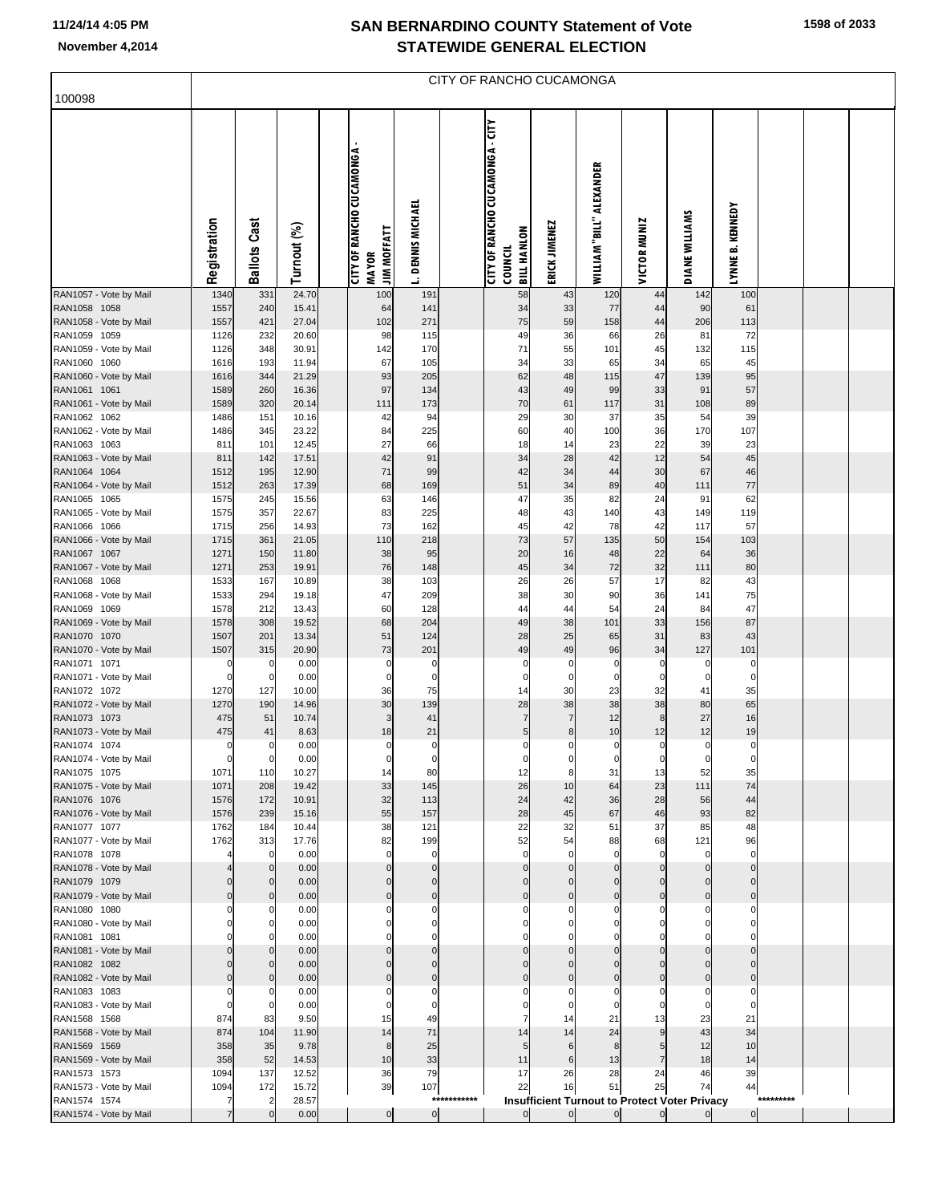100098

|                          |  |  |  |  |  | <b>STATEWIDE GENERAL ELECTION</b> |  |  |  |  |  |  |  |  |
|--------------------------|--|--|--|--|--|-----------------------------------|--|--|--|--|--|--|--|--|
| CITY OF RANCHO CUCAMONGA |  |  |  |  |  |                                   |  |  |  |  |  |  |  |  |
|                          |  |  |  |  |  |                                   |  |  |  |  |  |  |  |  |

|                                        |                |                          |                |                                 |                            |             | <b>CITY OF RANCHO CUCAMONGA - CITY</b> |                         |                                                            |                        |                         |                             |           |  |
|----------------------------------------|----------------|--------------------------|----------------|---------------------------------|----------------------------|-------------|----------------------------------------|-------------------------|------------------------------------------------------------|------------------------|-------------------------|-----------------------------|-----------|--|
|                                        |                |                          |                | <b>CITY OF RANCHO CUCAMONGA</b> |                            |             |                                        |                         |                                                            |                        |                         |                             |           |  |
|                                        |                |                          |                |                                 |                            |             |                                        |                         |                                                            |                        |                         |                             |           |  |
|                                        | Registration   | <b>Ballots Cast</b>      | Turnout (%)    | <b>JIM MOFFATT</b>              | <b>DENNIS MICHAEL</b>      |             | <b>BILL HANLON</b>                     | ERICK JIMENEZ           | WILLIAM "BILL" ALEXANDER                                   | <b>VICTOR MUNIZ</b>    | <b>DIANE WILLIAMS</b>   | LYNNE B. KENNEDY            |           |  |
|                                        |                |                          |                | <b>MAYOR</b>                    | İ.                         |             | <b>COUNCIL</b>                         |                         |                                                            |                        |                         |                             |           |  |
| RAN1057 - Vote by Mail                 | 1340           | 331                      | 24.70          | 100                             | 191                        |             | 58                                     | 43                      | 120                                                        | 44                     | 142                     | 100                         |           |  |
| RAN1058 1058<br>RAN1058 - Vote by Mail | 1557<br>1557   | 240<br>421               | 15.41<br>27.04 | 64<br>102                       | 141<br>271                 |             | 34<br>75                               | 33<br>59                | 77<br>158                                                  | 44<br>44               | 90<br>206               | 61<br>113                   |           |  |
| RAN1059 1059                           | 1126           | 232                      | 20.60          | 98                              | 115                        |             | 49                                     | 36                      | 66                                                         | 26                     | 81                      | 72                          |           |  |
| RAN1059 - Vote by Mail                 | 1126           | 348                      | 30.91          | 142                             | 170                        |             | 71                                     | 55                      | 101                                                        | 45                     | 132                     | 115                         |           |  |
| RAN1060 1060                           | 1616           | 193                      | 11.94          | 67                              | 105                        |             | 34                                     | 33                      | 65                                                         | 34                     | 65                      | 45                          |           |  |
| RAN1060 - Vote by Mail                 | 1616           | 344                      | 21.29          | 93                              | 205                        |             | 62                                     | 48                      | 115                                                        | 47                     | 139                     | 95                          |           |  |
| RAN1061 1061                           | 1589<br>1589   | 260<br>320               | 16.36<br>20.14 | 97                              | 134                        |             | 43<br>70                               | 49                      | 99                                                         | 33<br>31               | 91                      | 57<br>89                    |           |  |
| RAN1061 - Vote by Mail<br>RAN1062 1062 | 1486           | 151                      | 10.16          | 111<br>42                       | 173<br>94                  |             | 29                                     | 61<br>30                | 117<br>37                                                  | 35                     | 108<br>54               | 39                          |           |  |
| RAN1062 - Vote by Mail                 | 1486           | 345                      | 23.22          | 84                              | 225                        |             | 60                                     | 40                      | 100                                                        | 36                     | 170                     | 107                         |           |  |
| RAN1063 1063                           | 811            | 101                      | 12.45          | 27                              | 66                         |             | 18                                     | 14                      | 23                                                         | 22                     | 39                      | 23                          |           |  |
| RAN1063 - Vote by Mail                 | 811            | 142                      | 17.51          | 42                              | 91                         |             | 34                                     | 28                      | 42                                                         | 12                     | 54                      | 45                          |           |  |
| RAN1064 1064                           | 1512           | 195                      | 12.90          | 71                              | 99                         |             | 42                                     | 34                      | 44                                                         | 30                     | 67                      | 46                          |           |  |
| RAN1064 - Vote by Mail                 | 1512           | 263                      | 17.39          | 68                              | 169                        |             | 51                                     | 34                      | 89                                                         | 40                     | 111                     | 77                          |           |  |
| RAN1065 1065<br>RAN1065 - Vote by Mail | 1575<br>1575   | 245<br>357               | 15.56<br>22.67 | 63<br>83                        | 146<br>225                 |             | 47<br>48                               | 35<br>43                | 82<br>140                                                  | 24<br>43               | 91<br>149               | 62<br>119                   |           |  |
| RAN1066 1066                           | 1715           | 256                      | 14.93          | 73                              | 162                        |             | 45                                     | 42                      | 78                                                         | 42                     | 117                     | 57                          |           |  |
| RAN1066 - Vote by Mail                 | 1715           | 361                      | 21.05          | 110                             | 218                        |             | 73                                     | 57                      | 135                                                        | 50                     | 154                     | 103                         |           |  |
| RAN1067 1067                           | 1271           | 150                      | 11.80          | 38                              | 95                         |             | 20                                     | 16                      | 48                                                         | 22                     | 64                      | 36                          |           |  |
| RAN1067 - Vote by Mail                 | 1271           | 253                      | 19.91          | 76                              | 148                        |             | 45                                     | 34                      | 72                                                         | 32                     | 111                     | 80                          |           |  |
| RAN1068 1068                           | 1533           | 167                      | 10.89          | 38                              | 103                        |             | 26                                     | 26                      | 57                                                         | 17                     | 82                      | 43                          |           |  |
| RAN1068 - Vote by Mail<br>RAN1069 1069 | 1533<br>1578   | 294<br>212               | 19.18<br>13.43 | 47                              | 209                        |             | 38<br>44                               | 30<br>44                | 90<br>54                                                   | 36<br>24               | 141                     | 75<br>47                    |           |  |
| RAN1069 - Vote by Mail                 | 1578           | 308                      | 19.52          | 60<br>68                        | 128<br>204                 |             | 49                                     | 38                      | 101                                                        | 33                     | 84<br>156               | 87                          |           |  |
| RAN1070 1070                           | 1507           | 201                      | 13.34          | 51                              | 124                        |             | 28                                     | 25                      | 65                                                         | 31                     | 83                      | 43                          |           |  |
| RAN1070 - Vote by Mail                 | 1507           | 315                      | 20.90          | 73                              | 201                        |             | 49                                     | 49                      | 96                                                         | 34                     | 127                     | 101                         |           |  |
| RAN1071 1071                           | 0              | $\overline{0}$           | 0.00           | 0                               | 0                          |             | 0                                      | 0                       | 0                                                          | C                      | 0                       | 0                           |           |  |
| RAN1071 - Vote by Mail                 | $\Omega$       | $\overline{0}$           | 0.00           | 0                               | 0                          |             | 0                                      | 0                       | 0                                                          | 0                      | 0                       | 0                           |           |  |
| RAN1072 1072<br>RAN1072 - Vote by Mail | 1270<br>1270   | 127<br>190               | 10.00<br>14.96 | 36<br>30                        | 75<br>139                  |             | 14<br>28                               | 30<br>38                | 23<br>38                                                   | 32<br>38               | 41<br>80                | 35<br>65                    |           |  |
| RAN1073 1073                           | 475            | 51                       | 10.74          | 3                               | 41                         |             | $\overline{7}$                         | $\overline{7}$          | 12                                                         | 8                      | 27                      | 16                          |           |  |
| RAN1073 - Vote by Mail                 | 475            | 41                       | 8.63           | 18                              | 21                         |             | 5                                      | 8                       | 10                                                         | 12                     | 12                      | 19                          |           |  |
| RAN1074 1074                           | 0              | 0                        | 0.00           | 0                               | 0                          |             | 0                                      | 0                       | 0                                                          | 0                      | 0                       | $\mathbf 0$                 |           |  |
| RAN1074 - Vote by Mail                 |                | $\mathbf 0$              | 0.00           | 0                               | 0                          |             | 0                                      | 0                       | 0                                                          | 0                      | 0                       | $\mathbf 0$                 |           |  |
| RAN1075 1075                           | 1071           | 110                      | 10.27          | 14                              | 80                         |             | 12                                     | 8                       | 31                                                         | 13                     | 52                      | 35                          |           |  |
| RAN1075 - Vote by Mail<br>RAN1076 1076 | 1071<br>1576   | 208<br>172               | 19.42<br>10.91 | 33<br>32                        | 145<br>113                 |             | 26<br>24                               | 10<br>42                | 64<br>36                                                   | 23<br>28               | 111<br>56               | 74<br>44                    |           |  |
| RAN1076 - Vote by Mail                 | 1576           | 239                      | 15.16          | 55                              | 157                        |             | 28                                     | 45                      | 67                                                         | 46                     | 93                      | 82                          |           |  |
| RAN1077 1077                           | 1762           | 184                      | 10.44          | 38                              | 121                        |             | 22                                     | 32                      | 51                                                         | 37                     | 85                      | 48                          |           |  |
| RAN1077 - Vote by Mail                 | 1762           | 313                      | 17.76          | 82                              | 199                        |             | 52                                     | 54                      | 88                                                         | 68                     | 121                     | 96                          |           |  |
| RAN1078 1078                           |                | 0                        | 0.00           | 0                               | 0                          |             | $\mathbf 0$                            | $\mathbf 0$             | $\mathbf 0$                                                | $\Omega$               | 0                       | $\mathbf 0$                 |           |  |
| RAN1078 - Vote by Mail                 |                | $\pmb{0}$                | 0.00           | 0                               | $\mathbf 0$                |             | $\mathbf 0$                            | $\Omega$                | $\Omega$                                                   | $\Omega$               | $\Omega$                | $\overline{0}$              |           |  |
| RAN1079 1079<br>RAN1079 - Vote by Mail | $\Omega$       | $\mathbf 0$<br>$\pmb{0}$ | 0.00<br>0.00   | 0<br>0                          | $\Omega$<br>$\overline{0}$ |             | $\Omega$<br>$\mathbf 0$                | $\Omega$<br>$\mathbf 0$ | $\Omega$<br>$\mathbf 0$                                    | $\sqrt{ }$<br>$\Omega$ | $\Omega$<br>$\mathbf 0$ | $\pmb{0}$<br>$\overline{0}$ |           |  |
| RAN1080 1080                           |                | $\mathbf 0$              | 0.00           | 0                               | $\Omega$                   |             | 0                                      | $\Omega$                | $\Omega$                                                   |                        |                         | 0                           |           |  |
| RAN1080 - Vote by Mail                 |                | $\pmb{0}$                | 0.00           |                                 | 0                          |             | 0                                      | 0                       | 0                                                          |                        | 0                       | 0                           |           |  |
| RAN1081 1081                           |                | $\mathbf 0$              | 0.00           | n                               | $\Omega$                   |             | $\Omega$                               | $\Omega$                | $\Omega$                                                   |                        |                         | $\Omega$                    |           |  |
| RAN1081 - Vote by Mail                 | $\Omega$       | $\pmb{0}$                | 0.00           | 0                               | $\overline{0}$             |             | $\mathbf 0$                            | $\Omega$                | $\mathbf 0$                                                | $\Omega$               | $\mathbf 0$             | $\overline{0}$              |           |  |
| RAN1082 1082                           | $\Omega$       | $\mathbf 0$              | 0.00           | 0                               | $\Omega$                   |             | $\Omega$                               | $\Omega$                | $\Omega$                                                   | $\sqrt{ }$             | $\Omega$                | $\pmb{0}$                   |           |  |
| RAN1082 - Vote by Mail                 |                | $\pmb{0}$                | 0.00           |                                 | $\mathbf 0$                |             | $\Omega$                               | $\Omega$                | $\Omega$                                                   | $\sqrt{ }$             | $\Omega$                | $\pmb{0}$                   |           |  |
| RAN1083 1083<br>RAN1083 - Vote by Mail | O              | 0<br>$\overline{0}$      | 0.00<br>0.00   | 0                               | 0<br>0                     |             | 0<br>0                                 | $\Omega$<br>$\mathbf 0$ | $\Omega$<br>$\mathbf 0$                                    | O                      | 0<br>0                  | 0<br>$\mathbf 0$            |           |  |
| RAN1568 1568                           | 874            | 83                       | 9.50           | 15                              | 49                         |             | 7                                      | 14                      | 21                                                         | 13                     | 23                      | 21                          |           |  |
| RAN1568 - Vote by Mail                 | 874            | 104                      | 11.90          | 14                              | 71                         |             | 14                                     | 14                      | 24                                                         | 9                      | 43                      | 34                          |           |  |
| RAN1569 1569                           | 358            | 35                       | 9.78           | 8                               | 25                         |             | 5                                      | 6                       | 8                                                          | 5                      | 12                      | 10                          |           |  |
| RAN1569 - Vote by Mail                 | 358            | 52                       | 14.53          | 10                              | 33                         |             | 11                                     | 6                       | 13                                                         | 7                      | 18                      | 14                          |           |  |
| RAN1573 1573                           | 1094           | 137                      | 12.52          | 36                              | 79                         |             | 17                                     | 26                      | 28                                                         | 24                     | 46                      | 39                          |           |  |
| RAN1573 - Vote by Mail<br>RAN1574 1574 | 1094           | 172<br>$\overline{a}$    | 15.72<br>28.57 | 39                              | 107                        | *********** | 22                                     | 16                      | 51<br><b>Insufficient Turnout to Protect Voter Privacy</b> | 25                     | 74                      | 44                          | ********* |  |
| RAN1574 - Vote by Mail                 | $\overline{7}$ | $\overline{0}$           | 0.00           | $\pmb{0}$                       | $\overline{0}$             |             | $\overline{0}$                         | $\overline{0}$          | $\overline{0}$                                             | $\overline{0}$         | $\overline{0}$          | $\overline{0}$              |           |  |